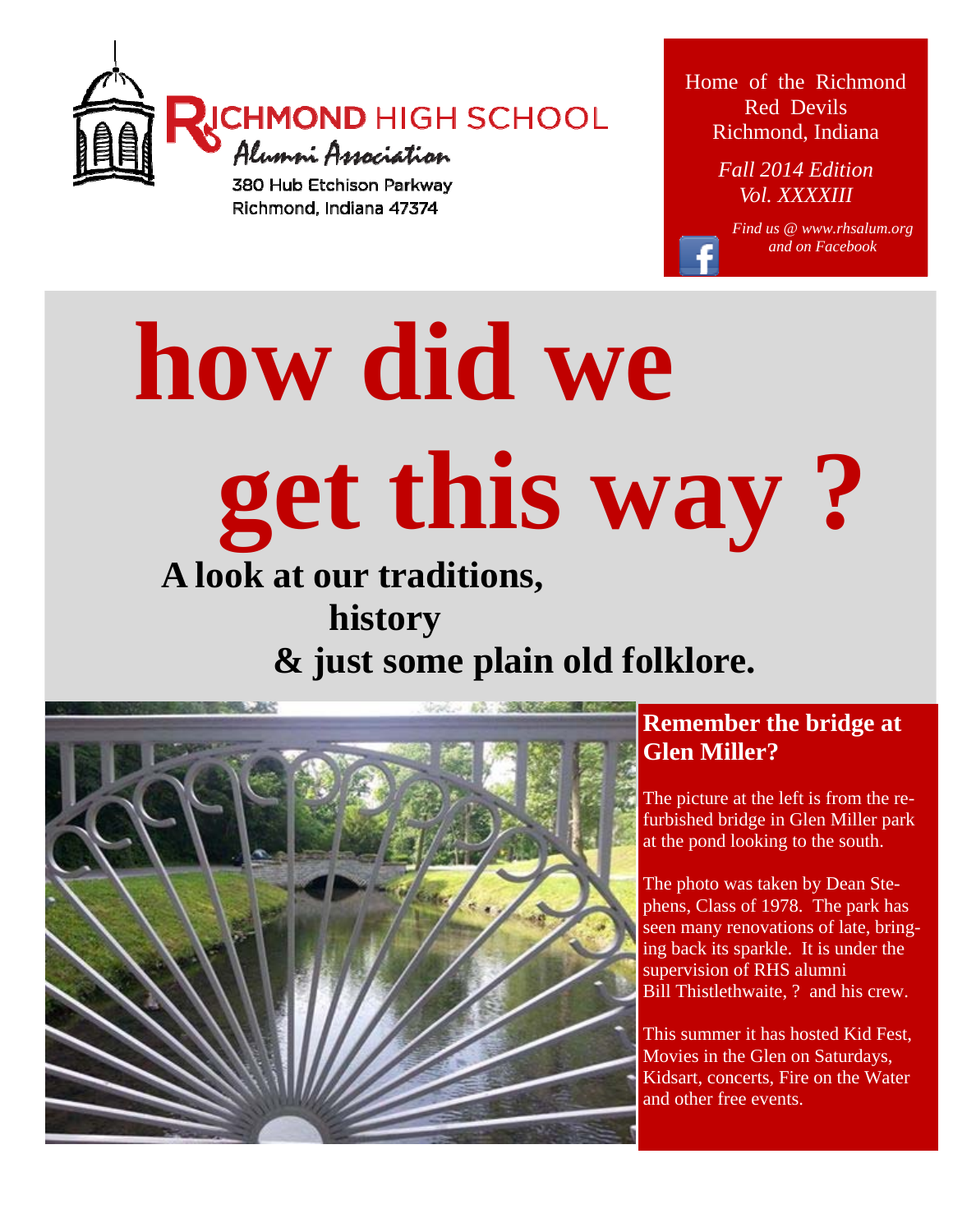

Home of the Richmond Red Devils Richmond, Indiana

> *Fall 2014 Edition Vol. XXXXIII*

> > *Find us @ www.rhsalum.org and on Facebook*

 **how did we get this way ? A look at our traditions,** 

# **history & just some plain old folklore.**



### **Remember the bridge at Glen Miller?**

The picture at the left is from the refurbished bridge in Glen Miller park at the pond looking to the south.

The photo was taken by Dean Stephens, Class of 1978. The park has seen many renovations of late, bringing back its sparkle. It is under the supervision of RHS alumni Bill Thistlethwaite, ? and his crew.

This summer it has hosted Kid Fest, Movies in the Glen on Saturdays, Kidsart, concerts, Fire on the Water and other free events.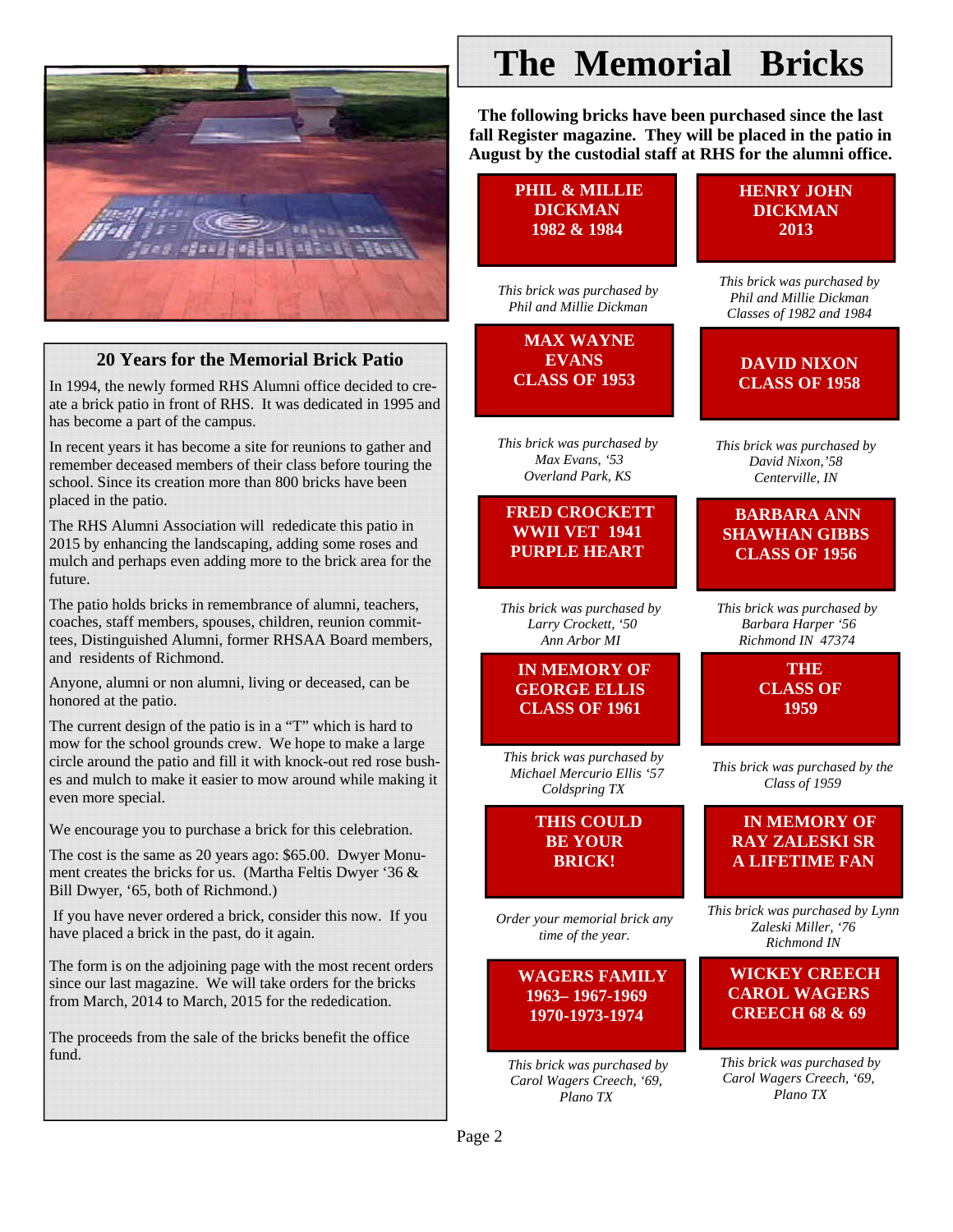

### **20 Years for the Memorial Brick Patio**

In 1994, the newly formed RHS Alumni office decided to create a brick patio in front of RHS. It was dedicated in 1995 and has become a part of the campus.

In recent years it has become a site for reunions to gather and remember deceased members of their class before touring the school. Since its creation more than 800 bricks have been placed in the patio.

The RHS Alumni Association will rededicate this patio in 2015 by enhancing the landscaping, adding some roses and mulch and perhaps even adding more to the brick area for the future.

The patio holds bricks in remembrance of alumni, teachers, coaches, staff members, spouses, children, reunion committees, Distinguished Alumni, former RHSAA Board members, and residents of Richmond.

Anyone, alumni or non alumni, living or deceased, can be honored at the patio.

The current design of the patio is in a "T" which is hard to mow for the school grounds crew. We hope to make a large circle around the patio and fill it with knock-out red rose bushes and mulch to make it easier to mow around while making it even more special.

We encourage you to purchase a brick for this celebration.

The cost is the same as 20 years ago: \$65.00. Dwyer Monument creates the bricks for us. (Martha Feltis Dwyer '36 & Bill Dwyer, '65, both of Richmond.)

 If you have never ordered a brick, consider this now. If you have placed a brick in the past, do it again.

The form is on the adjoining page with the most recent orders since our last magazine. We will take orders for the bricks from March, 2014 to March, 2015 for the rededication.

The proceeds from the sale of the bricks benefit the office fund.

## **The Memorial Bricks**

**The following bricks have been purchased since the last fall Register magazine. They will be placed in the patio in August by the custodial staff at RHS for the alumni office.**

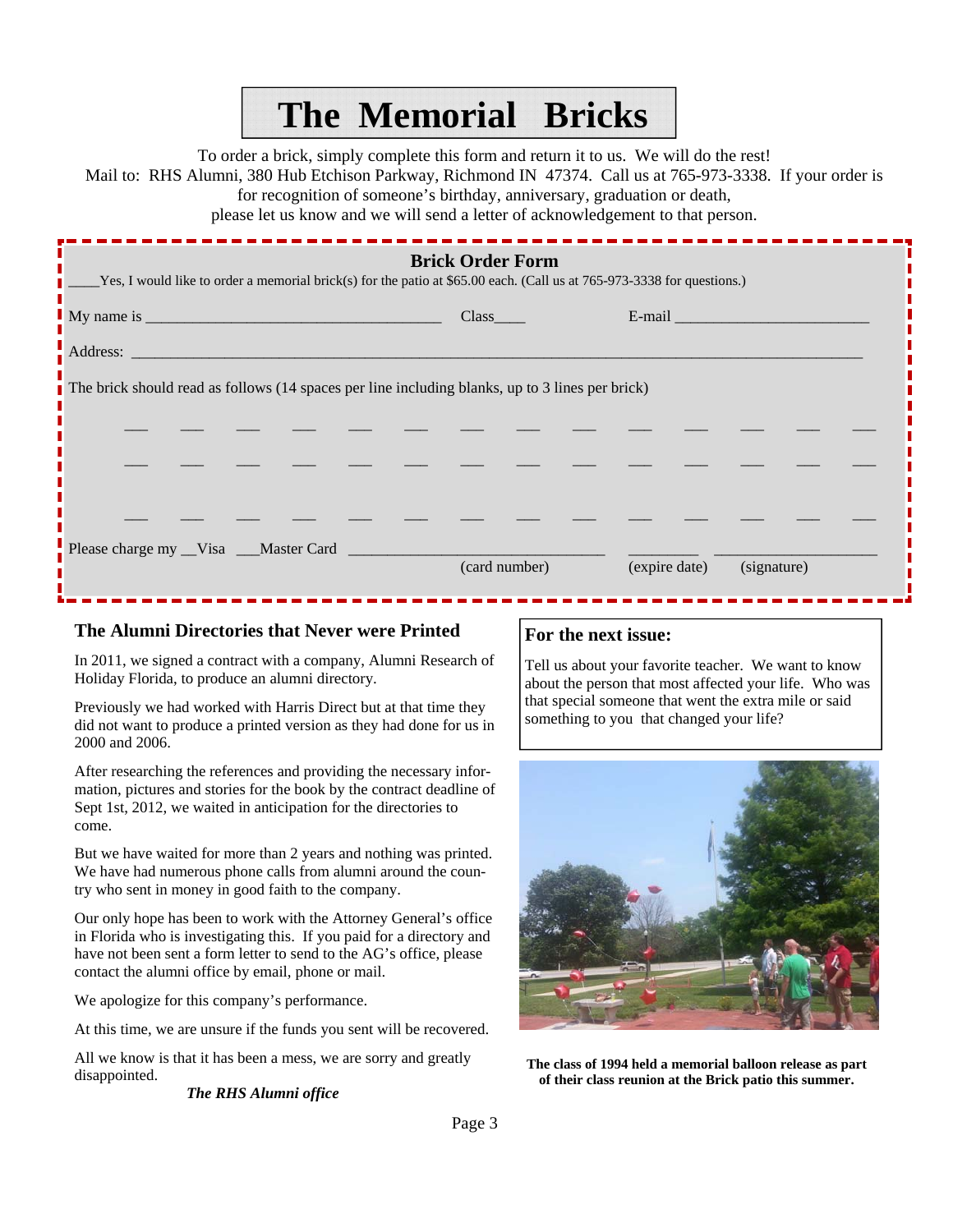## **The Memorial Bricks**

To order a brick, simply complete this form and return it to us. We will do the rest!

Mail to: RHS Alumni, 380 Hub Etchison Parkway, Richmond IN 47374. Call us at 765-973-3338. If your order is

for recognition of someone's birthday, anniversary, graduation or death,

please let us know and we will send a letter of acknowledgement to that person.

| <b>Brick Order Form</b><br>Yes, I would like to order a memorial brick(s) for the patio at \$65.00 each. (Call us at 765-973-3338 for questions.) |               |                                                                                                                |  |
|---------------------------------------------------------------------------------------------------------------------------------------------------|---------------|----------------------------------------------------------------------------------------------------------------|--|
|                                                                                                                                                   | Class         | E-mail and the contract of the contract of the contract of the contract of the contract of the contract of the |  |
| $\blacksquare$ Address: $\blacksquare$                                                                                                            |               |                                                                                                                |  |
| The brick should read as follows (14 spaces per line including blanks, up to 3 lines per brick)                                                   |               |                                                                                                                |  |
|                                                                                                                                                   |               |                                                                                                                |  |
|                                                                                                                                                   |               |                                                                                                                |  |
|                                                                                                                                                   |               |                                                                                                                |  |
| Please charge my _Visa __Master Card ____________                                                                                                 | (card number) | (expire date)<br>(signature)                                                                                   |  |

### **The Alumni Directories that Never were Printed**

In 2011, we signed a contract with a company, Alumni Research of Holiday Florida, to produce an alumni directory.

Previously we had worked with Harris Direct but at that time they did not want to produce a printed version as they had done for us in 2000 and 2006.

After researching the references and providing the necessary information, pictures and stories for the book by the contract deadline of Sept 1st, 2012, we waited in anticipation for the directories to come.

But we have waited for more than 2 years and nothing was printed. We have had numerous phone calls from alumni around the country who sent in money in good faith to the company.

Our only hope has been to work with the Attorney General's office in Florida who is investigating this. If you paid for a directory and have not been sent a form letter to send to the AG's office, please contact the alumni office by email, phone or mail.

We apologize for this company's performance.

At this time, we are unsure if the funds you sent will be recovered.

All we know is that it has been a mess, we are sorry and greatly disappointed.

### *The RHS Alumni office*

### **For the next issue:**

Tell us about your favorite teacher. We want to know about the person that most affected your life. Who was that special someone that went the extra mile or said something to you that changed your life?



**The class of 1994 held a memorial balloon release as part of their class reunion at the Brick patio this summer.**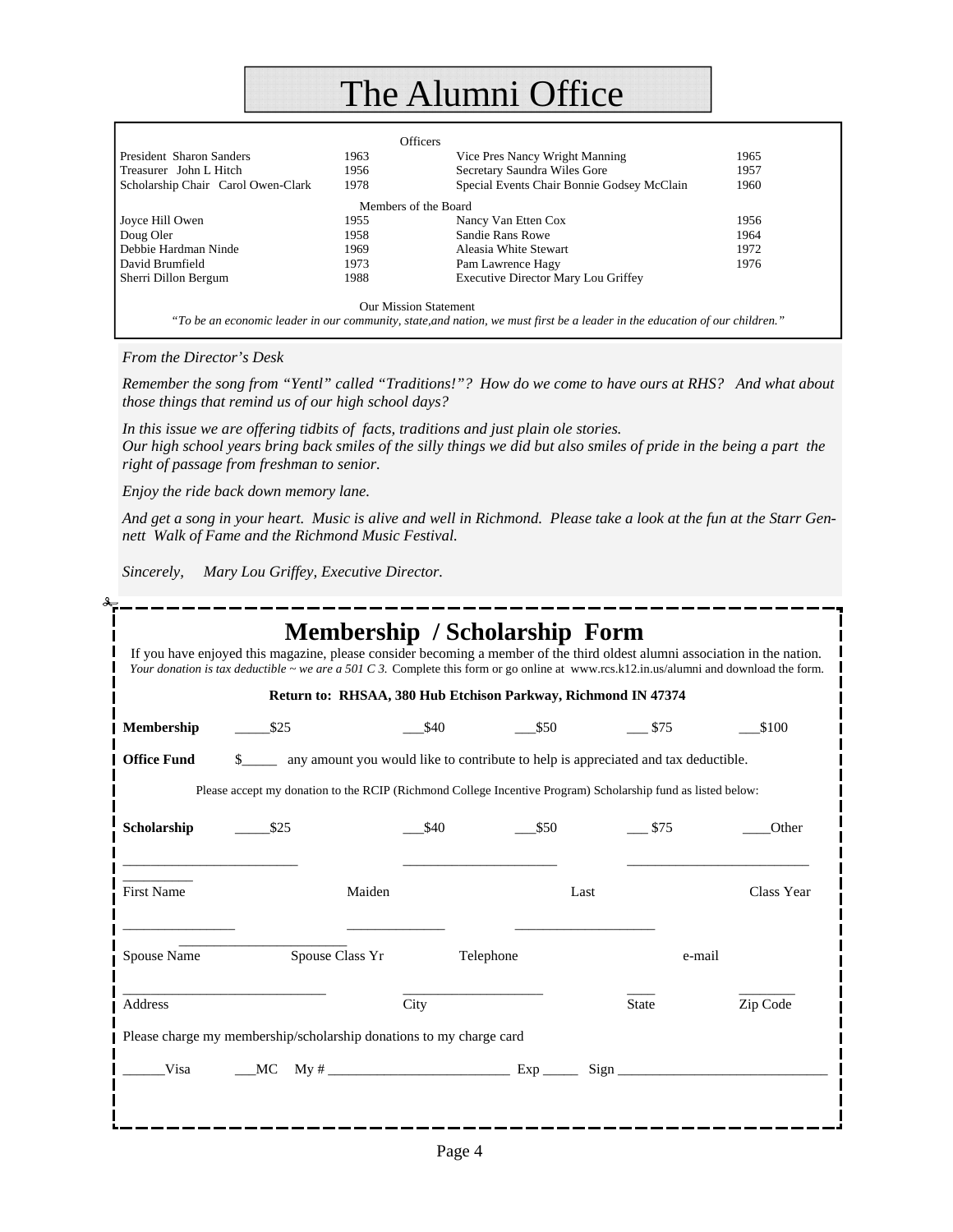### The Alumni Office

|                                    |      | <b>Officers</b>                                                                                                                                             |      |
|------------------------------------|------|-------------------------------------------------------------------------------------------------------------------------------------------------------------|------|
| President Sharon Sanders           | 1963 | Vice Pres Nancy Wright Manning                                                                                                                              | 1965 |
| Treasurer John L Hitch             | 1956 | Secretary Saundra Wiles Gore                                                                                                                                | 1957 |
| Scholarship Chair Carol Owen-Clark | 1978 | Special Events Chair Bonnie Godsey McClain                                                                                                                  | 1960 |
|                                    |      | Members of the Board                                                                                                                                        |      |
| Joyce Hill Owen                    | 1955 | Nancy Van Etten Cox                                                                                                                                         | 1956 |
| Doug Oler                          | 1958 | Sandie Rans Rowe                                                                                                                                            | 1964 |
| Debbie Hardman Ninde               | 1969 | Aleasia White Stewart                                                                                                                                       | 1972 |
| David Brumfield                    | 1973 | Pam Lawrence Hagy                                                                                                                                           | 1976 |
| Sherri Dillon Bergum               | 1988 | <b>Executive Director Mary Lou Griffey</b>                                                                                                                  |      |
|                                    |      | <b>Our Mission Statement</b><br>"To be an economic leader in our community, state, and nation, we must first be a leader in the education of our children." |      |

*From the Director's Desk* 

*Remember the song from "Yentl" called "Traditions!"? How do we come to have ours at RHS? And what about those things that remind us of our high school days?* 

*In this issue we are offering tidbits of facts, traditions and just plain ole stories. Our high school years bring back smiles of the silly things we did but also smiles of pride in the being a part the right of passage from freshman to senior.* 

*Enjoy the ride back down memory lane.* 

*And get a song in your heart. Music is alive and well in Richmond. Please take a look at the fun at the Starr Gennett Walk of Fame and the Richmond Music Festival.* 

*Sincerely, Mary Lou Griffey, Executive Director.* 

|                    | Return to: RHSAA, 380 Hub Etchison Parkway, Richmond IN 47374                                                |                 |           |              |            |
|--------------------|--------------------------------------------------------------------------------------------------------------|-----------------|-----------|--------------|------------|
| Membership         | $\frac{$25}{ }$                                                                                              | $\frac{$40}{ }$ | $-$ \$50  | $-$ \$75     | \$100      |
| <b>Office Fund</b> | \$_______ any amount you would like to contribute to help is appreciated and tax deductible.                 |                 |           |              |            |
|                    | Please accept my donation to the RCIP (Richmond College Incentive Program) Scholarship fund as listed below: |                 |           |              |            |
| Scholarship        | $\frac{$25}{ }$                                                                                              | \$40            | \$50      | \$75         | Other      |
| <b>First Name</b>  | Maiden                                                                                                       |                 | Last      |              | Class Year |
| Spouse Name        | Spouse Class Yr                                                                                              |                 | Telephone |              | e-mail     |
| Address            |                                                                                                              | City            |           | <b>State</b> | Zip Code   |
|                    | Please charge my membership/scholarship donations to my charge card                                          |                 |           |              |            |
|                    |                                                                                                              |                 |           |              |            |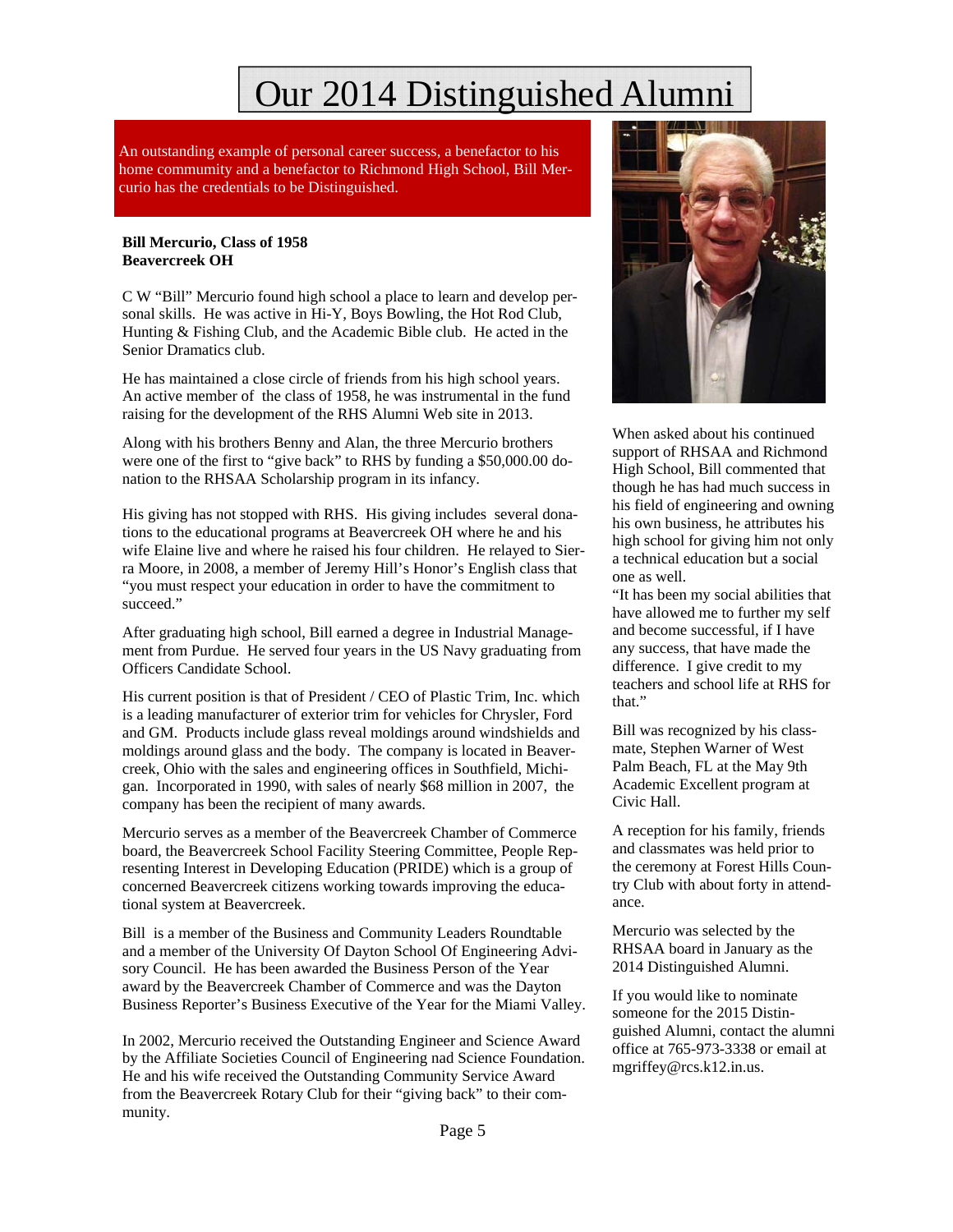## Our 2014 Distinguished Alumni

An outstanding example of personal career success, a benefactor to his home commumity and a benefactor to Richmond High School, Bill Mercurio has the credentials to be Distinguished.

#### **Bill Mercurio, Class of 1958 Beavercreek OH**

C W "Bill" Mercurio found high school a place to learn and develop personal skills. He was active in Hi-Y, Boys Bowling, the Hot Rod Club, Hunting & Fishing Club, and the Academic Bible club. He acted in the Senior Dramatics club.

He has maintained a close circle of friends from his high school years. An active member of the class of 1958, he was instrumental in the fund raising for the development of the RHS Alumni Web site in 2013.

Along with his brothers Benny and Alan, the three Mercurio brothers were one of the first to "give back" to RHS by funding a \$50,000.00 donation to the RHSAA Scholarship program in its infancy.

His giving has not stopped with RHS. His giving includes several donations to the educational programs at Beavercreek OH where he and his wife Elaine live and where he raised his four children. He relayed to Sierra Moore, in 2008, a member of Jeremy Hill's Honor's English class that "you must respect your education in order to have the commitment to succeed."

After graduating high school, Bill earned a degree in Industrial Management from Purdue. He served four years in the US Navy graduating from Officers Candidate School.

His current position is that of President / CEO of Plastic Trim, Inc. which is a leading manufacturer of exterior trim for vehicles for Chrysler, Ford and GM. Products include glass reveal moldings around windshields and moldings around glass and the body. The company is located in Beavercreek, Ohio with the sales and engineering offices in Southfield, Michigan. Incorporated in 1990, with sales of nearly \$68 million in 2007, the company has been the recipient of many awards.

Mercurio serves as a member of the Beavercreek Chamber of Commerce board, the Beavercreek School Facility Steering Committee, People Representing Interest in Developing Education (PRIDE) which is a group of concerned Beavercreek citizens working towards improving the educational system at Beavercreek.

Bill is a member of the Business and Community Leaders Roundtable and a member of the University Of Dayton School Of Engineering Advisory Council. He has been awarded the Business Person of the Year award by the Beavercreek Chamber of Commerce and was the Dayton Business Reporter's Business Executive of the Year for the Miami Valley.

In 2002, Mercurio received the Outstanding Engineer and Science Award by the Affiliate Societies Council of Engineering nad Science Foundation. He and his wife received the Outstanding Community Service Award from the Beavercreek Rotary Club for their "giving back" to their community.



When asked about his continued support of RHSAA and Richmond High School, Bill commented that though he has had much success in his field of engineering and owning his own business, he attributes his high school for giving him not only a technical education but a social one as well.

"It has been my social abilities that have allowed me to further my self and become successful, if I have any success, that have made the difference. I give credit to my teachers and school life at RHS for that."

Bill was recognized by his classmate, Stephen Warner of West Palm Beach, FL at the May 9th Academic Excellent program at Civic Hall.

A reception for his family, friends and classmates was held prior to the ceremony at Forest Hills Country Club with about forty in attendance.

Mercurio was selected by the RHSAA board in January as the 2014 Distinguished Alumni.

If you would like to nominate someone for the 2015 Distinguished Alumni, contact the alumni office at 765-973-3338 or email at mgriffey@rcs.k12.in.us.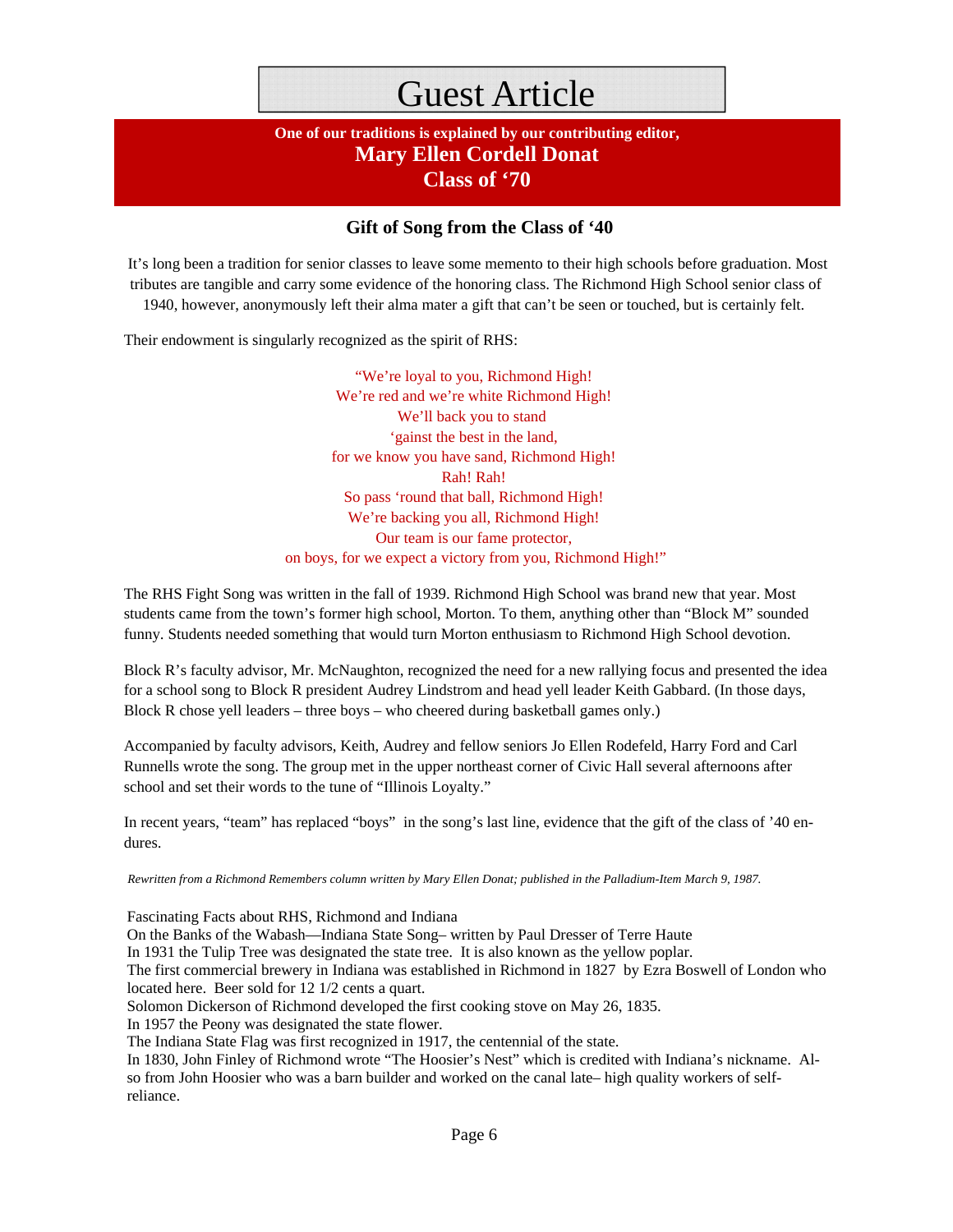### Guest Article

### **One of our traditions is explained by our contributing editor, Mary Ellen Cordell Donat Class of '70**

### **Gift of Song from the Class of '40**

 It's long been a tradition for senior classes to leave some memento to their high schools before graduation. Most tributes are tangible and carry some evidence of the honoring class. The Richmond High School senior class of 1940, however, anonymously left their alma mater a gift that can't be seen or touched, but is certainly felt.

Their endowment is singularly recognized as the spirit of RHS:

"We're loyal to you, Richmond High! We're red and we're white Richmond High! We'll back you to stand 'gainst the best in the land, for we know you have sand, Richmond High! Rah! Rah! So pass 'round that ball, Richmond High! We're backing you all, Richmond High! Our team is our fame protector, on boys, for we expect a victory from you, Richmond High!"

The RHS Fight Song was written in the fall of 1939. Richmond High School was brand new that year. Most students came from the town's former high school, Morton. To them, anything other than "Block M" sounded funny. Students needed something that would turn Morton enthusiasm to Richmond High School devotion.

Block R's faculty advisor, Mr. McNaughton, recognized the need for a new rallying focus and presented the idea for a school song to Block R president Audrey Lindstrom and head yell leader Keith Gabbard. (In those days, Block R chose yell leaders – three boys – who cheered during basketball games only.)

Accompanied by faculty advisors, Keith, Audrey and fellow seniors Jo Ellen Rodefeld, Harry Ford and Carl Runnells wrote the song. The group met in the upper northeast corner of Civic Hall several afternoons after school and set their words to the tune of "Illinois Loyalty."

In recent years, "team" has replaced "boys" in the song's last line, evidence that the gift of the class of '40 endures.

*Rewritten from a Richmond Remembers column written by Mary Ellen Donat; published in the Palladium-Item March 9, 1987.* 

Fascinating Facts about RHS, Richmond and Indiana

On the Banks of the Wabash—Indiana State Song– written by Paul Dresser of Terre Haute

In 1931 the Tulip Tree was designated the state tree. It is also known as the yellow poplar.

The first commercial brewery in Indiana was established in Richmond in 1827 by Ezra Boswell of London who located here. Beer sold for 12 1/2 cents a quart.

Solomon Dickerson of Richmond developed the first cooking stove on May 26, 1835.

In 1957 the Peony was designated the state flower.

The Indiana State Flag was first recognized in 1917, the centennial of the state.

In 1830, John Finley of Richmond wrote "The Hoosier's Nest" which is credited with Indiana's nickname. Also from John Hoosier who was a barn builder and worked on the canal late– high quality workers of selfreliance.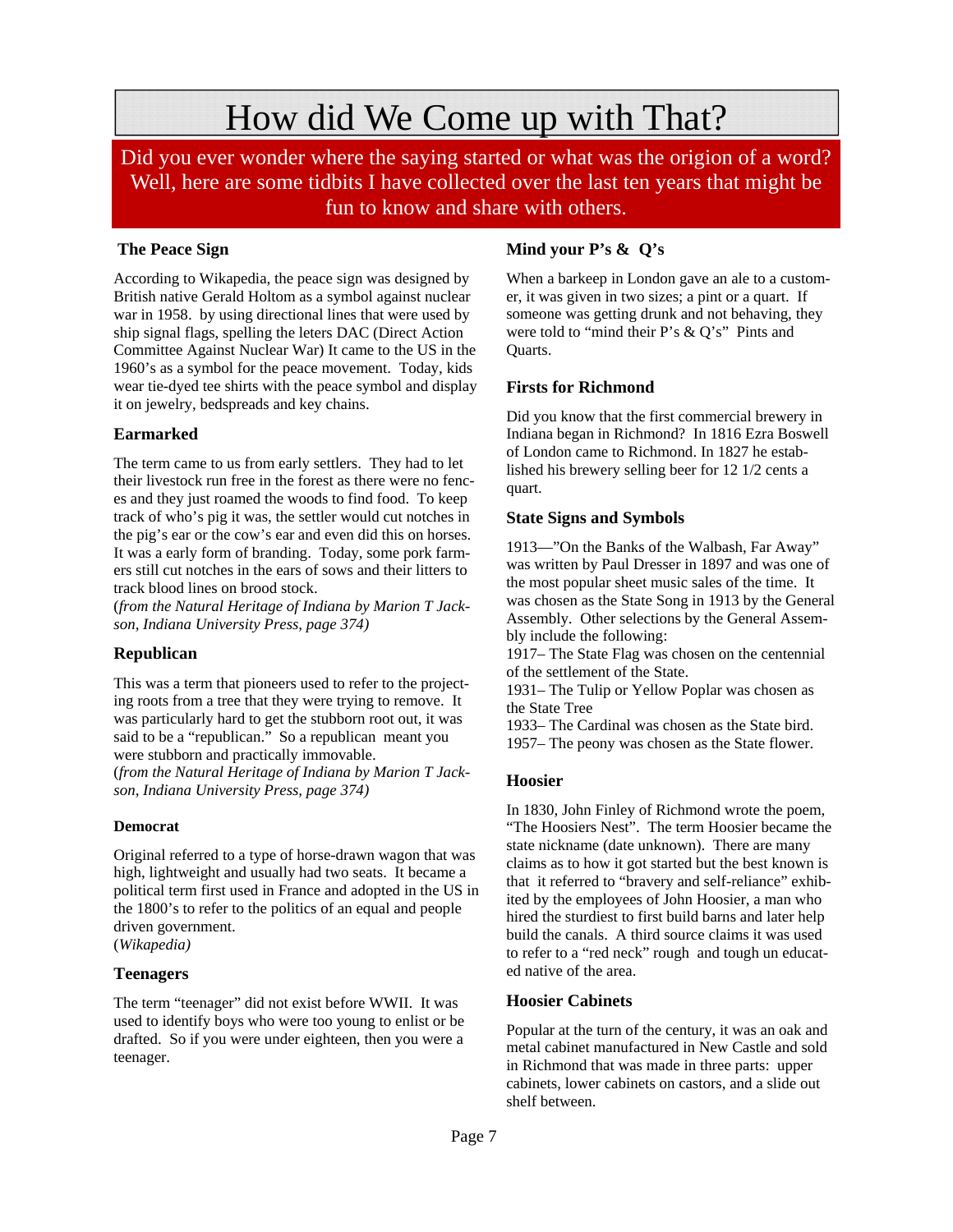### How did We Come up with That?

Did you ever wonder where the saying started or what was the origion of a word? Well, here are some tidbits I have collected over the last ten years that might be fun to know and share with others.

### **The Peace Sign**

According to Wikapedia, the peace sign was designed by British native Gerald Holtom as a symbol against nuclear war in 1958. by using directional lines that were used by ship signal flags, spelling the leters DAC (Direct Action Committee Against Nuclear War) It came to the US in the 1960's as a symbol for the peace movement. Today, kids wear tie-dyed tee shirts with the peace symbol and display it on jewelry, bedspreads and key chains.

### **Earmarked**

The term came to us from early settlers. They had to let their livestock run free in the forest as there were no fences and they just roamed the woods to find food. To keep track of who's pig it was, the settler would cut notches in the pig's ear or the cow's ear and even did this on horses. It was a early form of branding. Today, some pork farmers still cut notches in the ears of sows and their litters to track blood lines on brood stock.

(*from the Natural Heritage of Indiana by Marion T Jackson, Indiana University Press, page 374)* 

### **Republican**

This was a term that pioneers used to refer to the projecting roots from a tree that they were trying to remove. It was particularly hard to get the stubborn root out, it was said to be a "republican." So a republican meant you were stubborn and practically immovable. (*from the Natural Heritage of Indiana by Marion T Jack-*

*son, Indiana University Press, page 374)* 

### **Democrat**

Original referred to a type of horse-drawn wagon that was high, lightweight and usually had two seats. It became a political term first used in France and adopted in the US in the 1800's to refer to the politics of an equal and people driven government. (*Wikapedia)* 

### **Teenagers**

The term "teenager" did not exist before WWII. It was used to identify boys who were too young to enlist or be drafted. So if you were under eighteen, then you were a teenager.

### **Mind your P's & Q's**

When a barkeep in London gave an ale to a customer, it was given in two sizes; a pint or a quart. If someone was getting drunk and not behaving, they were told to "mind their P's & Q's" Pints and Quarts.

### **Firsts for Richmond**

Did you know that the first commercial brewery in Indiana began in Richmond? In 1816 Ezra Boswell of London came to Richmond. In 1827 he established his brewery selling beer for 12 1/2 cents a quart.

### **State Signs and Symbols**

1913—"On the Banks of the Walbash, Far Away" was written by Paul Dresser in 1897 and was one of the most popular sheet music sales of the time. It was chosen as the State Song in 1913 by the General Assembly. Other selections by the General Assembly include the following:

1917– The State Flag was chosen on the centennial of the settlement of the State.

1931– The Tulip or Yellow Poplar was chosen as the State Tree

1933– The Cardinal was chosen as the State bird. 1957– The peony was chosen as the State flower.

### **Hoosier**

In 1830, John Finley of Richmond wrote the poem, "The Hoosiers Nest". The term Hoosier became the state nickname (date unknown). There are many claims as to how it got started but the best known is that it referred to "bravery and self-reliance" exhibited by the employees of John Hoosier, a man who hired the sturdiest to first build barns and later help build the canals. A third source claims it was used to refer to a "red neck" rough and tough un educated native of the area.

#### **Hoosier Cabinets**

Popular at the turn of the century, it was an oak and metal cabinet manufactured in New Castle and sold in Richmond that was made in three parts: upper cabinets, lower cabinets on castors, and a slide out shelf between.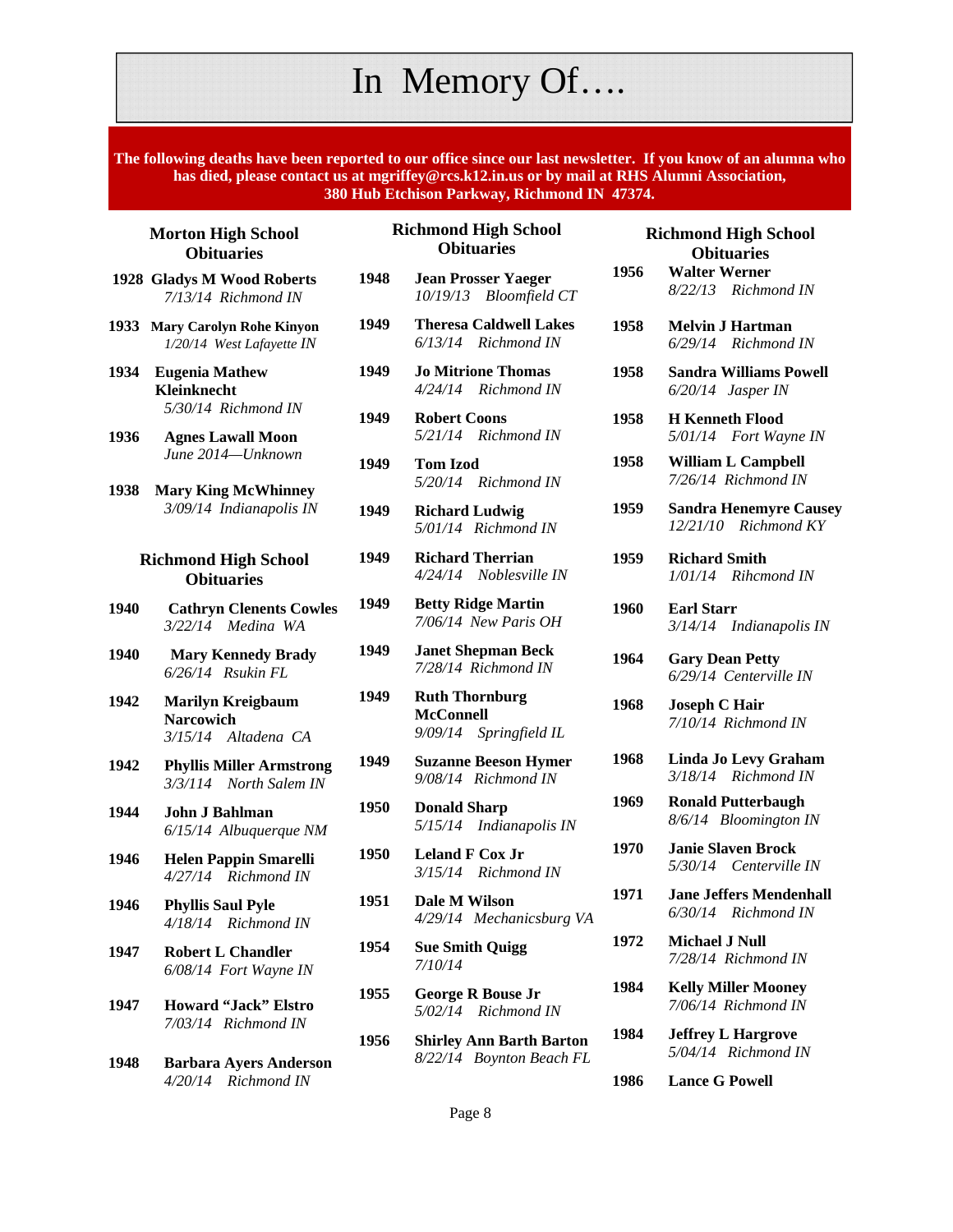### In Memory Of….

**The following deaths have been reported to our office since our last newsletter. If you know of an alumna who has died, please contact us at mgriffey@rcs.k12.in.us or by mail at RHS Alumni Association, 380 Hub Etchison Parkway, Richmond IN 47374.** 

#### **Morton High School Obituaries**

- **1928 Gladys M Wood Roberts**  *7/13/14 Richmond IN*
- **1933 Mary Carolyn Rohe Kinyon**  *1/20/14 West Lafayette IN*
- **1934 Eugenia Mathew Kleinknecht**   *5/30/14 Richmond IN*
- **1936 Agnes Lawall Moon**  *June 2014—Unknown*
- **1938 Mary King McWhinney**  *3/09/14 Indianapolis IN*

#### **Richmond High School Obituaries**

- **1940 Cathryn Clenents Cowles**   *3/22/14 Medina WA*
- **1940 Mary Kennedy Brady**   *6/26/14 Rsukin FL*
- **1942 Marilyn Kreigbaum Narcowich**  *3/15/14 Altadena CA*
- **1942 Phyllis Miller Armstrong**  *3/3/114 North Salem IN*
- **1944 John J Bahlman**  *6/15/14 Albuquerque NM*
- **1946 Helen Pappin Smarelli**  *4/27/14 Richmond IN*
- **1946 Phyllis Saul Pyle**  *4/18/14 Richmond IN*
- **1947 Robert L Chandler**  *6/08/14 Fort Wayne IN*
- **1947 Howard "Jack" Elstro**  *7/03/14 Richmond IN*
- **1948 Barbara Ayers Anderson**   *4/20/14 Richmond IN*

#### **Richmond High School Obituaries**

- **1948 Jean Prosser Yaeger**  *10/19/13 Bloomfield CT*
- **1949 Theresa Caldwell Lakes**   *6/13/14 Richmond IN*
- **1949 Jo Mitrione Thomas**  *4/24/14 Richmond IN*
- **1949 Robert Coons** *5/21/14 Richmond IN*
- **1949 Tom Izod**  *5/20/14 Richmond IN*
- **1949 Richard Ludwig**  *5/01/14 Richmond IN*
- **1949 Richard Therrian**  *4/24/14 Noblesville IN*
- **1949 Betty Ridge Martin**  *7/06/14 New Paris OH*
- **1949 Janet Shepman Beck**  *7/28/14 Richmond IN*
- **1949 Ruth Thornburg McConnell**  *9/09/14 Springfield IL*
- **1949 Suzanne Beeson Hymer**  *9/08/14 Richmond IN*
- **1950 Donald Sharp**  *5/15/14 Indianapolis IN*
- **1950 Leland F Cox Jr**   *3/15/14 Richmond IN*
- **1951 Dale M Wilson**  *4/29/14 Mechanicsburg VA*
- **1954 Sue Smith Quigg**  *7/10/14*
- **1955 George R Bouse Jr**  *5/02/14 Richmond IN*
- **1956 Shirley Ann Barth Barton**  *8/22/14 Boynton Beach FL*

|      | <b>Richmond High School</b><br><b>Obituaries</b>      |
|------|-------------------------------------------------------|
| 1956 | <b>Walter Werner</b><br>8/22/13 Richmond IN           |
| 1958 | <b>Melvin J Hartman</b><br>6/29/14 Richmond IN        |
| 1958 | <b>Sandra Williams Powell</b><br>6/20/14 Jasper IN    |
| 1958 | <b>H</b> Kenneth Flood<br>5/01/14 Fort Wayne IN       |
| 1958 | <b>William L Campbell</b><br>7/26/14 Richmond IN      |
| 1959 | <b>Sandra Henemyre Causey</b><br>12/21/10 Richmond KY |
| 1959 | <b>Richard Smith</b><br>1/01/14 Rihcmond IN           |
| 1960 | <b>Earl Starr</b><br>3/14/14 Indianapolis IN          |
| 1964 | <b>Gary Dean Petty</b><br>6/29/14 Centerville IN      |
| 1968 | <b>Joseph C Hair</b><br>7/10/14 Richmond IN           |
| 1968 | <b>Linda Jo Levy Graham</b><br>3/18/14 Richmond IN    |
| 1969 | <b>Ronald Putterbaugh</b><br>8/6/14 Bloomington IN    |
| 1970 | <b>Janie Slaven Brock</b><br>5/30/14 Centerville IN   |
| 1971 | <b>Jane Jeffers Mendenhall</b><br>6/30/14 Richmond IN |
| 1972 | <b>Michael J Null</b><br>7/28/14 Richmond IN          |
| 1984 | <b>Kelly Miller Mooney</b><br>7/06/14 Richmond IN     |
| 1984 | <b>Jeffrey L Hargrove</b><br>5/04/14 Richmond IN      |

**1986 Lance G Powell** 

Page 8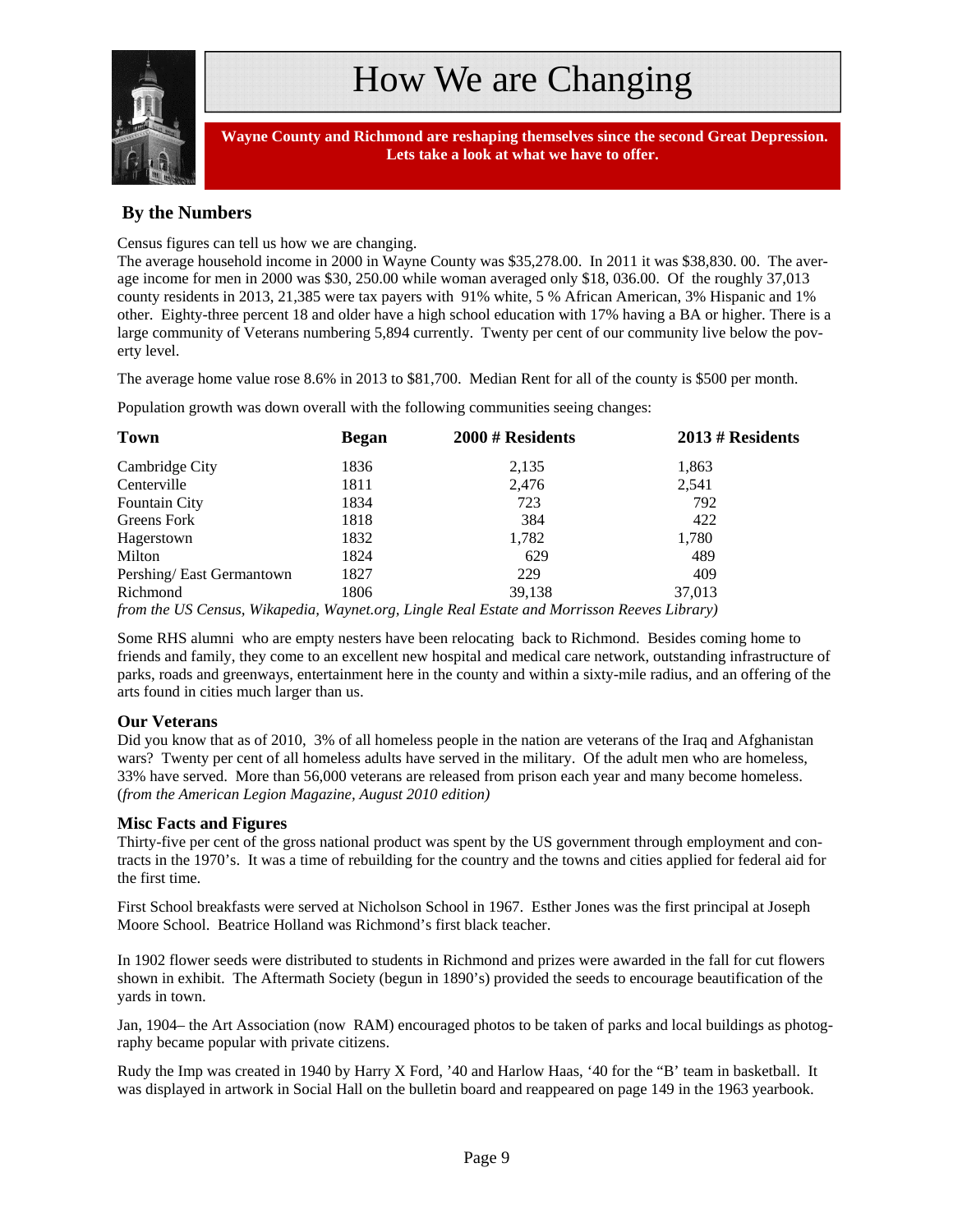

 **Wayne County and Richmond are reshaping themselves since the second Great Depression. Lets take a look at what we have to offer.**

### **By the Numbers**

Census figures can tell us how we are changing.

The average household income in 2000 in Wayne County was \$35,278.00. In 2011 it was \$38,830. 00. The average income for men in 2000 was \$30, 250.00 while woman averaged only \$18, 036.00. Of the roughly 37,013 county residents in 2013, 21,385 were tax payers with 91% white, 5 % African American, 3% Hispanic and 1% other. Eighty-three percent 18 and older have a high school education with 17% having a BA or higher. There is a large community of Veterans numbering 5,894 currently. Twenty per cent of our community live below the poverty level.

The average home value rose 8.6% in 2013 to \$81,700. Median Rent for all of the county is \$500 per month.

Population growth was down overall with the following communities seeing changes:

| Town                     | <b>Began</b> | 2000 # Residents                                                                            | $2013 \# Residents$ |
|--------------------------|--------------|---------------------------------------------------------------------------------------------|---------------------|
| Cambridge City           | 1836         | 2,135                                                                                       | 1,863               |
| Centerville              | 1811         | 2,476                                                                                       | 2,541               |
| <b>Fountain City</b>     | 1834         | 723                                                                                         | 792                 |
| Greens Fork              | 1818         | 384                                                                                         | 422                 |
| Hagerstown               | 1832         | 1,782                                                                                       | 1,780               |
| Milton                   | 1824         | 629                                                                                         | 489                 |
| Pershing/East Germantown | 1827         | 229                                                                                         | 409                 |
| Richmond                 | 1806         | 39.138                                                                                      | 37,013              |
|                          |              | from the US Census, Wikapedia, Waynet.org, Lingle Real Estate and Morrisson Reeves Library) |                     |

Some RHS alumni who are empty nesters have been relocating back to Richmond. Besides coming home to friends and family, they come to an excellent new hospital and medical care network, outstanding infrastructure of parks, roads and greenways, entertainment here in the county and within a sixty-mile radius, and an offering of the arts found in cities much larger than us.

#### **Our Veterans**

Did you know that as of 2010, 3% of all homeless people in the nation are veterans of the Iraq and Afghanistan wars? Twenty per cent of all homeless adults have served in the military. Of the adult men who are homeless, 33% have served. More than 56,000 veterans are released from prison each year and many become homeless. (*from the American Legion Magazine, August 2010 edition)* 

#### **Misc Facts and Figures**

Thirty-five per cent of the gross national product was spent by the US government through employment and contracts in the 1970's. It was a time of rebuilding for the country and the towns and cities applied for federal aid for the first time.

First School breakfasts were served at Nicholson School in 1967. Esther Jones was the first principal at Joseph Moore School. Beatrice Holland was Richmond's first black teacher.

In 1902 flower seeds were distributed to students in Richmond and prizes were awarded in the fall for cut flowers shown in exhibit. The Aftermath Society (begun in 1890's) provided the seeds to encourage beautification of the yards in town.

Jan, 1904– the Art Association (now RAM) encouraged photos to be taken of parks and local buildings as photography became popular with private citizens.

Rudy the Imp was created in 1940 by Harry X Ford, '40 and Harlow Haas, '40 for the "B' team in basketball. It was displayed in artwork in Social Hall on the bulletin board and reappeared on page 149 in the 1963 yearbook.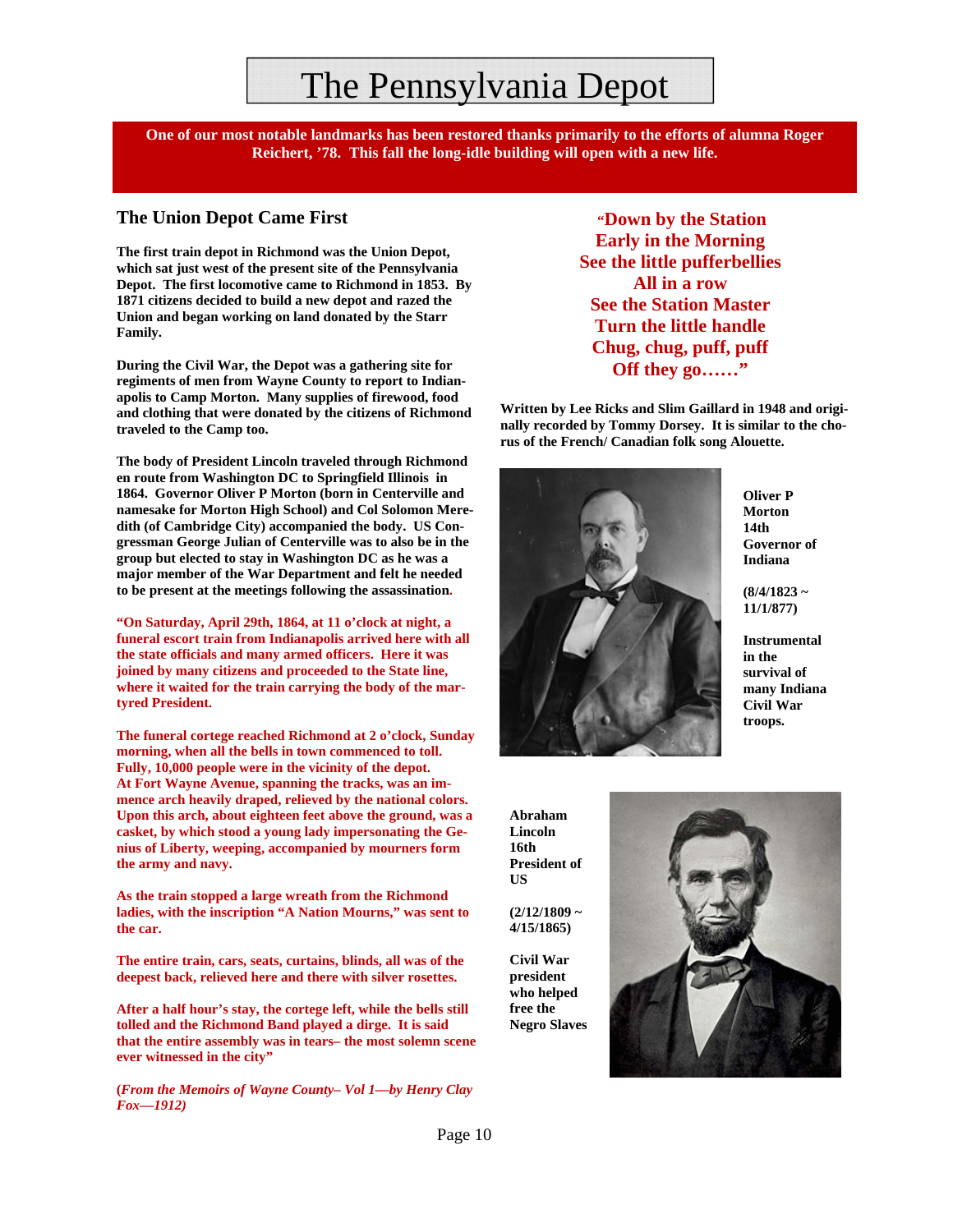### The Pennsylvania Depot

**One of our most notable landmarks has been restored thanks primarily to the efforts of alumna Roger Reichert, '78. This fall the long-idle building will open with a new life.**

### **The Union Depot Came First**

**The first train depot in Richmond was the Union Depot, which sat just west of the present site of the Pennsylvania Depot. The first locomotive came to Richmond in 1853. By 1871 citizens decided to build a new depot and razed the Union and began working on land donated by the Starr Family.** 

**During the Civil War, the Depot was a gathering site for regiments of men from Wayne County to report to Indianapolis to Camp Morton. Many supplies of firewood, food and clothing that were donated by the citizens of Richmond traveled to the Camp too.** 

**The body of President Lincoln traveled through Richmond en route from Washington DC to Springfield Illinois in 1864. Governor Oliver P Morton (born in Centerville and namesake for Morton High School) and Col Solomon Meredith (of Cambridge City) accompanied the body. US Congressman George Julian of Centerville was to also be in the group but elected to stay in Washington DC as he was a major member of the War Department and felt he needed to be present at the meetings following the assassination.** 

**"On Saturday, April 29th, 1864, at 11 o'clock at night, a funeral escort train from Indianapolis arrived here with all the state officials and many armed officers. Here it was joined by many citizens and proceeded to the State line, where it waited for the train carrying the body of the martyred President.** 

**The funeral cortege reached Richmond at 2 o'clock, Sunday morning, when all the bells in town commenced to toll. Fully, 10,000 people were in the vicinity of the depot. At Fort Wayne Avenue, spanning the tracks, was an immence arch heavily draped, relieved by the national colors. Upon this arch, about eighteen feet above the ground, was a casket, by which stood a young lady impersonating the Genius of Liberty, weeping, accompanied by mourners form the army and navy.** 

**As the train stopped a large wreath from the Richmond ladies, with the inscription "A Nation Mourns," was sent to the car.** 

**The entire train, cars, seats, curtains, blinds, all was of the deepest back, relieved here and there with silver rosettes.** 

**After a half hour's stay, the cortege left, while the bells still tolled and the Richmond Band played a dirge. It is said that the entire assembly was in tears– the most solemn scene ever witnessed in the city"** 

**(***From the Memoirs of Wayne County– Vol 1—by Henry Clay Fox—1912)*

 **"Down by the Station Early in the Morning See the little pufferbellies All in a row See the Station Master Turn the little handle Chug, chug, puff, puff Off they go……"** 

**Written by Lee Ricks and Slim Gaillard in 1948 and originally recorded by Tommy Dorsey. It is similar to the chorus of the French/ Canadian folk song Alouette.** 



**Oliver P Morton 14th Governor of Indiana** 

**(8/4/1823 ~ 11/1/877)** 

**Instrumental in the survival of many Indiana Civil War troops.** 

**Abraham Lincoln 16th President of US** 

**(2/12/1809 ~ 4/15/1865)** 

**Civil War president who helped free the Negro Slaves** 

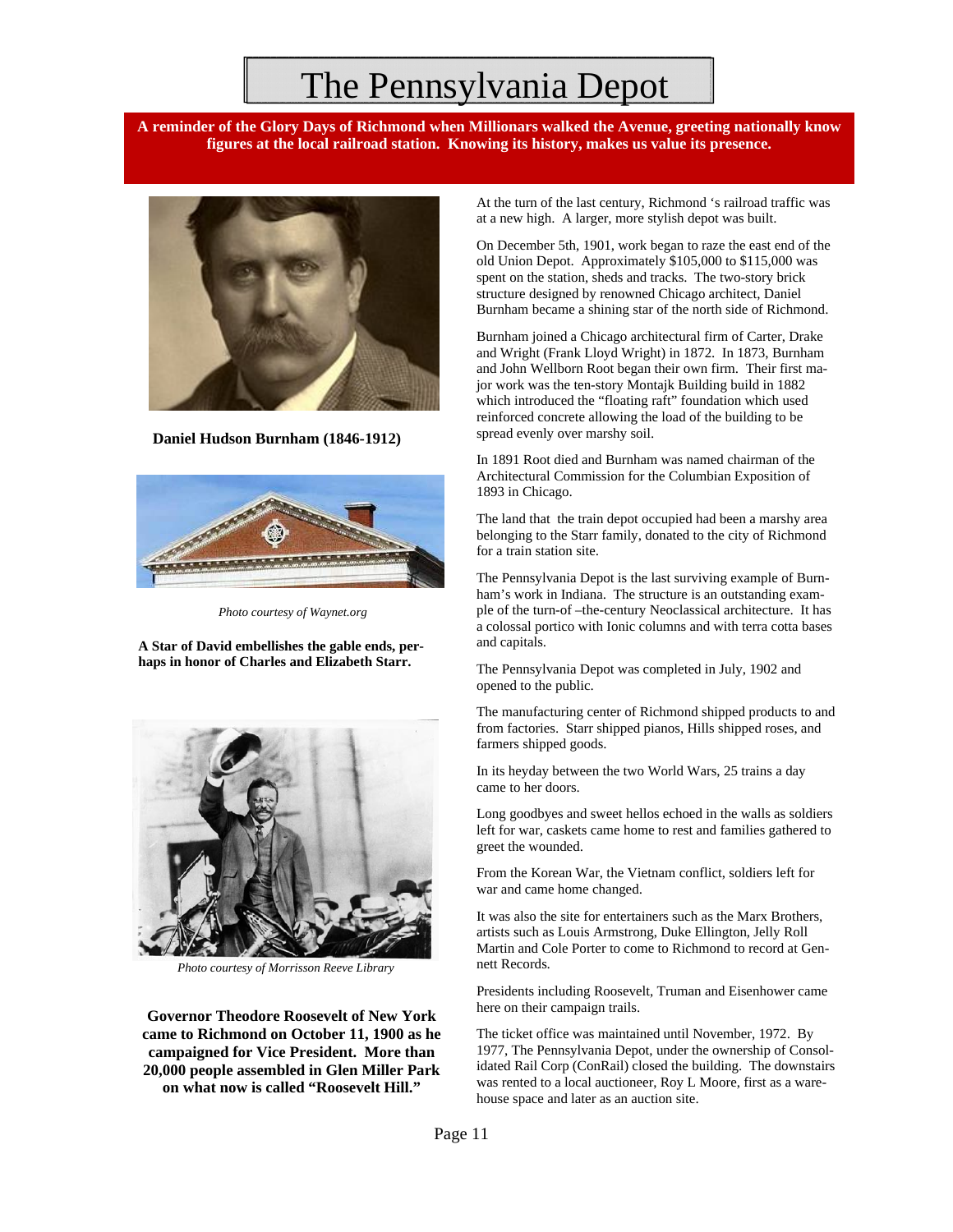### The Pennsylvania Depot

**A reminder of the Glory Days of Richmond when Millionars walked the Avenue, greeting nationally know figures at the local railroad station. Knowing its history, makes us value its presence.** 



**Daniel Hudson Burnham (1846-1912)** 



*Photo courtesy of Waynet.org* 

**A Star of David embellishes the gable ends, perhaps in honor of Charles and Elizabeth Starr.** 



*Photo courtesy of Morrisson Reeve Library* 

**Governor Theodore Roosevelt of New York came to Richmond on October 11, 1900 as he campaigned for Vice President. More than 20,000 people assembled in Glen Miller Park on what now is called "Roosevelt Hill."** 

At the turn of the last century, Richmond 's railroad traffic was at a new high. A larger, more stylish depot was built.

On December 5th, 1901, work began to raze the east end of the old Union Depot. Approximately \$105,000 to \$115,000 was spent on the station, sheds and tracks. The two-story brick structure designed by renowned Chicago architect, Daniel Burnham became a shining star of the north side of Richmond.

Burnham joined a Chicago architectural firm of Carter, Drake and Wright (Frank Lloyd Wright) in 1872. In 1873, Burnham and John Wellborn Root began their own firm. Their first major work was the ten-story Montajk Building build in 1882 which introduced the "floating raft" foundation which used reinforced concrete allowing the load of the building to be spread evenly over marshy soil.

In 1891 Root died and Burnham was named chairman of the Architectural Commission for the Columbian Exposition of 1893 in Chicago.

The land that the train depot occupied had been a marshy area belonging to the Starr family, donated to the city of Richmond for a train station site.

The Pennsylvania Depot is the last surviving example of Burnham's work in Indiana. The structure is an outstanding example of the turn-of –the-century Neoclassical architecture. It has a colossal portico with Ionic columns and with terra cotta bases and capitals.

The Pennsylvania Depot was completed in July, 1902 and opened to the public.

The manufacturing center of Richmond shipped products to and from factories. Starr shipped pianos, Hills shipped roses, and farmers shipped goods.

In its heyday between the two World Wars, 25 trains a day came to her doors.

Long goodbyes and sweet hellos echoed in the walls as soldiers left for war, caskets came home to rest and families gathered to greet the wounded.

From the Korean War, the Vietnam conflict, soldiers left for war and came home changed.

It was also the site for entertainers such as the Marx Brothers, artists such as Louis Armstrong, Duke Ellington, Jelly Roll Martin and Cole Porter to come to Richmond to record at Gennett Records.

Presidents including Roosevelt, Truman and Eisenhower came here on their campaign trails.

The ticket office was maintained until November, 1972. By 1977, The Pennsylvania Depot, under the ownership of Consolidated Rail Corp (ConRail) closed the building. The downstairs was rented to a local auctioneer, Roy L Moore, first as a warehouse space and later as an auction site.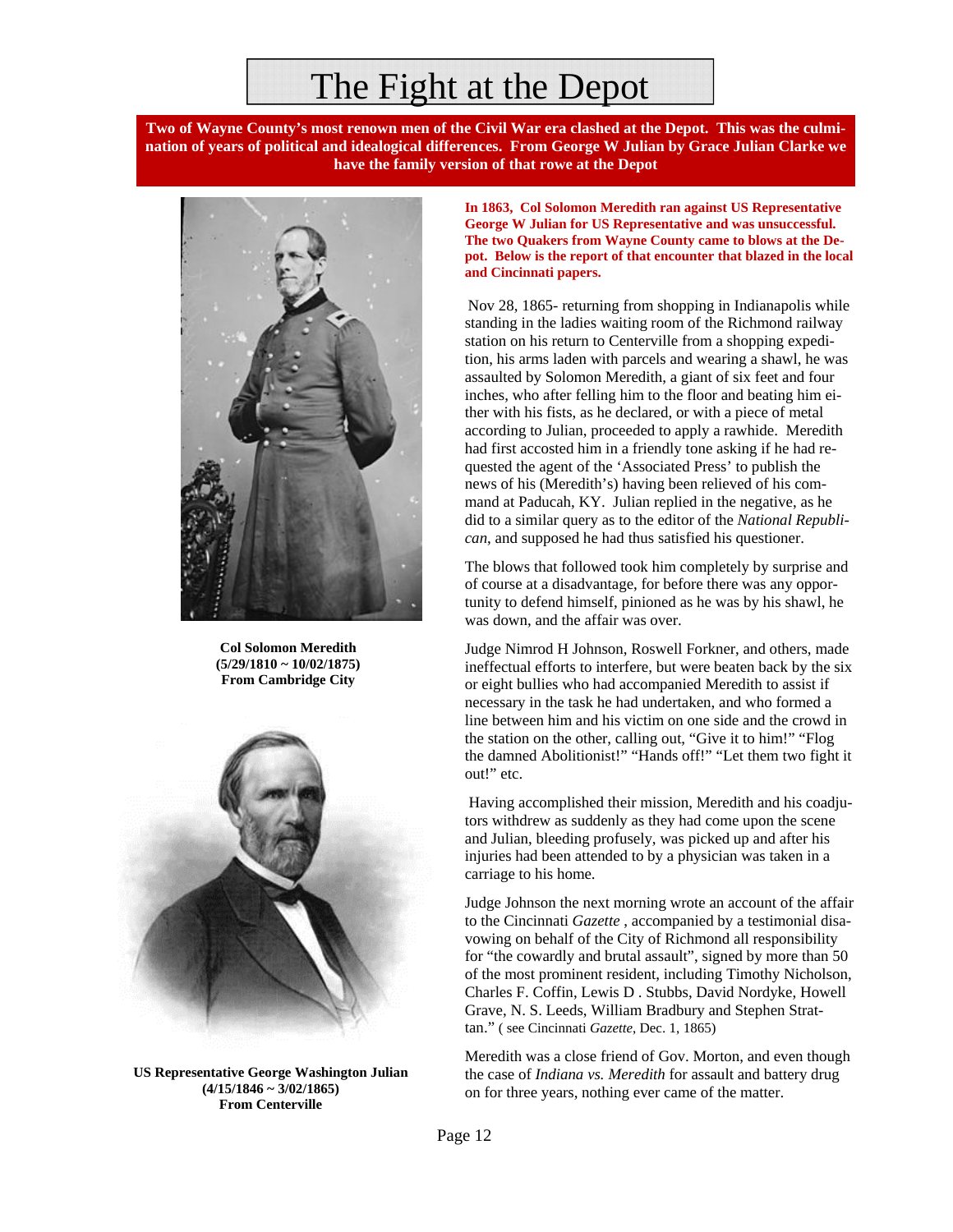### The Fight at the Depot

**Two of Wayne County's most renown men of the Civil War era clashed at the Depot. This was the culmination of years of political and idealogical differences. From George W Julian by Grace Julian Clarke we have the family version of that rowe at the Depot** 



**Col Solomon Meredith (5/29/1810 ~ 10/02/1875) From Cambridge City** 



**US Representative George Washington Julian (4/15/1846 ~ 3/02/1865) From Centerville** 

**In 1863, Col Solomon Meredith ran against US Representative George W Julian for US Representative and was unsuccessful. The two Quakers from Wayne County came to blows at the Depot. Below is the report of that encounter that blazed in the local and Cincinnati papers.** 

Nov 28, 1865- returning from shopping in Indianapolis while standing in the ladies waiting room of the Richmond railway station on his return to Centerville from a shopping expedition, his arms laden with parcels and wearing a shawl, he was assaulted by Solomon Meredith, a giant of six feet and four inches, who after felling him to the floor and beating him either with his fists, as he declared, or with a piece of metal according to Julian, proceeded to apply a rawhide. Meredith had first accosted him in a friendly tone asking if he had requested the agent of the 'Associated Press' to publish the news of his (Meredith's) having been relieved of his command at Paducah, KY. Julian replied in the negative, as he did to a similar query as to the editor of the *National Republican*, and supposed he had thus satisfied his questioner.

The blows that followed took him completely by surprise and of course at a disadvantage, for before there was any opportunity to defend himself, pinioned as he was by his shawl, he was down, and the affair was over.

Judge Nimrod H Johnson, Roswell Forkner, and others, made ineffectual efforts to interfere, but were beaten back by the six or eight bullies who had accompanied Meredith to assist if necessary in the task he had undertaken, and who formed a line between him and his victim on one side and the crowd in the station on the other, calling out, "Give it to him!" "Flog the damned Abolitionist!" "Hands off!" "Let them two fight it out!" etc.

 Having accomplished their mission, Meredith and his coadjutors withdrew as suddenly as they had come upon the scene and Julian, bleeding profusely, was picked up and after his injuries had been attended to by a physician was taken in a carriage to his home.

Judge Johnson the next morning wrote an account of the affair to the Cincinnati *Gazette* , accompanied by a testimonial disavowing on behalf of the City of Richmond all responsibility for "the cowardly and brutal assault", signed by more than 50 of the most prominent resident, including Timothy Nicholson, Charles F. Coffin, Lewis D . Stubbs, David Nordyke, Howell Grave, N. S. Leeds, William Bradbury and Stephen Strattan." ( see Cincinnati *Gazette*, Dec. 1, 1865)

Meredith was a close friend of Gov. Morton, and even though the case of *Indiana vs. Meredith* for assault and battery drug on for three years, nothing ever came of the matter.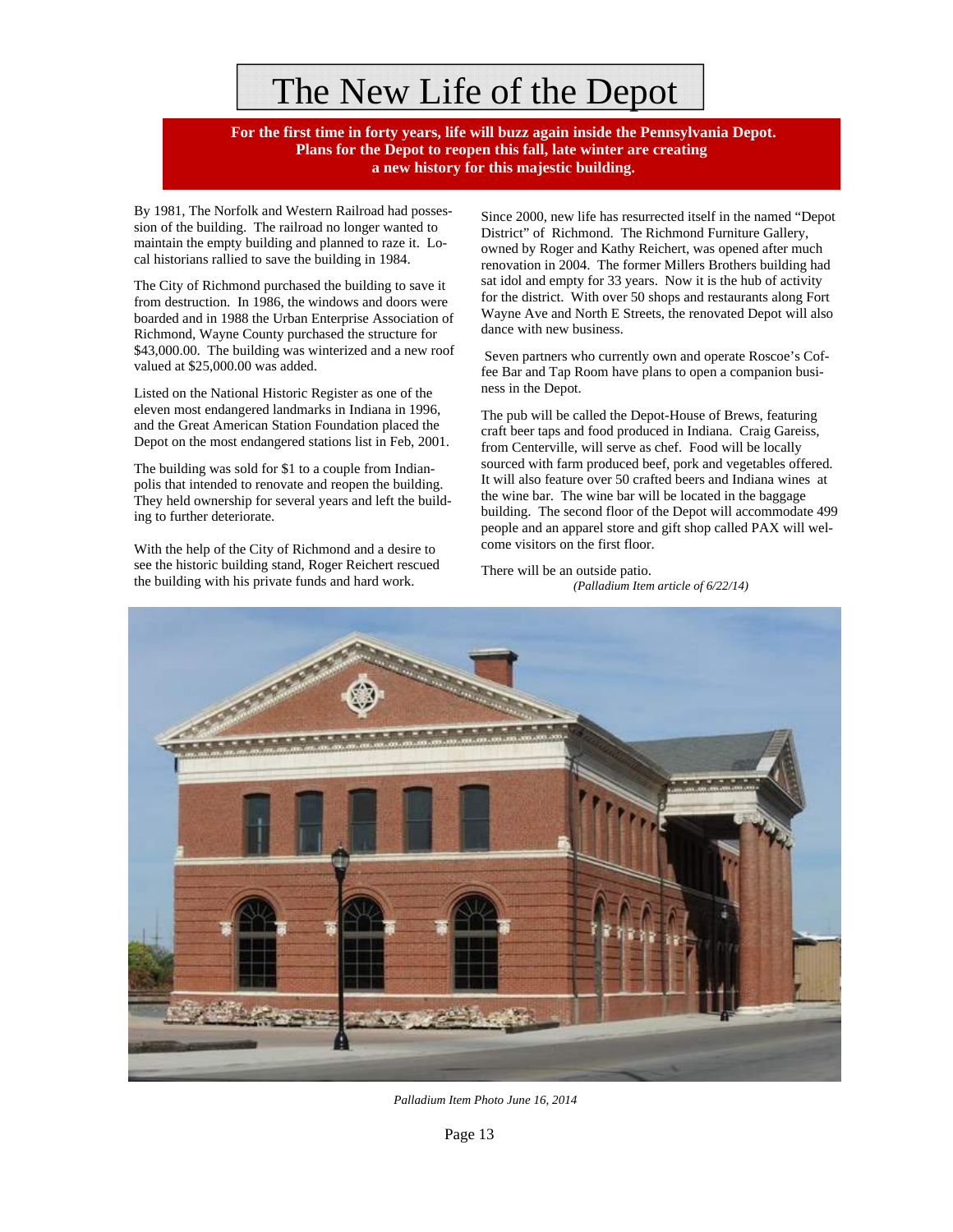## The New Life of the Depot

 **For the first time in forty years, life will buzz again inside the Pennsylvania Depot. Plans for the Depot to reopen this fall, late winter are creating a new history for this majestic building.**

By 1981, The Norfolk and Western Railroad had possession of the building. The railroad no longer wanted to maintain the empty building and planned to raze it. Local historians rallied to save the building in 1984.

The City of Richmond purchased the building to save it from destruction. In 1986, the windows and doors were boarded and in 1988 the Urban Enterprise Association of Richmond, Wayne County purchased the structure for \$43,000.00. The building was winterized and a new roof valued at \$25,000.00 was added.

Listed on the National Historic Register as one of the eleven most endangered landmarks in Indiana in 1996, and the Great American Station Foundation placed the Depot on the most endangered stations list in Feb, 2001.

The building was sold for \$1 to a couple from Indianpolis that intended to renovate and reopen the building. They held ownership for several years and left the building to further deteriorate.

With the help of the City of Richmond and a desire to see the historic building stand, Roger Reichert rescued the building with his private funds and hard work.

Since 2000, new life has resurrected itself in the named "Depot District" of Richmond. The Richmond Furniture Gallery, owned by Roger and Kathy Reichert, was opened after much renovation in 2004. The former Millers Brothers building had sat idol and empty for 33 years. Now it is the hub of activity for the district. With over 50 shops and restaurants along Fort Wayne Ave and North E Streets, the renovated Depot will also dance with new business.

 Seven partners who currently own and operate Roscoe's Coffee Bar and Tap Room have plans to open a companion business in the Depot.

The pub will be called the Depot-House of Brews, featuring craft beer taps and food produced in Indiana. Craig Gareiss, from Centerville, will serve as chef. Food will be locally sourced with farm produced beef, pork and vegetables offered. It will also feature over 50 crafted beers and Indiana wines at the wine bar. The wine bar will be located in the baggage building. The second floor of the Depot will accommodate 499 people and an apparel store and gift shop called PAX will welcome visitors on the first floor.

There will be an outside patio. *(Palladium Item article of 6/22/14)*



*Palladium Item Photo June 16, 2014*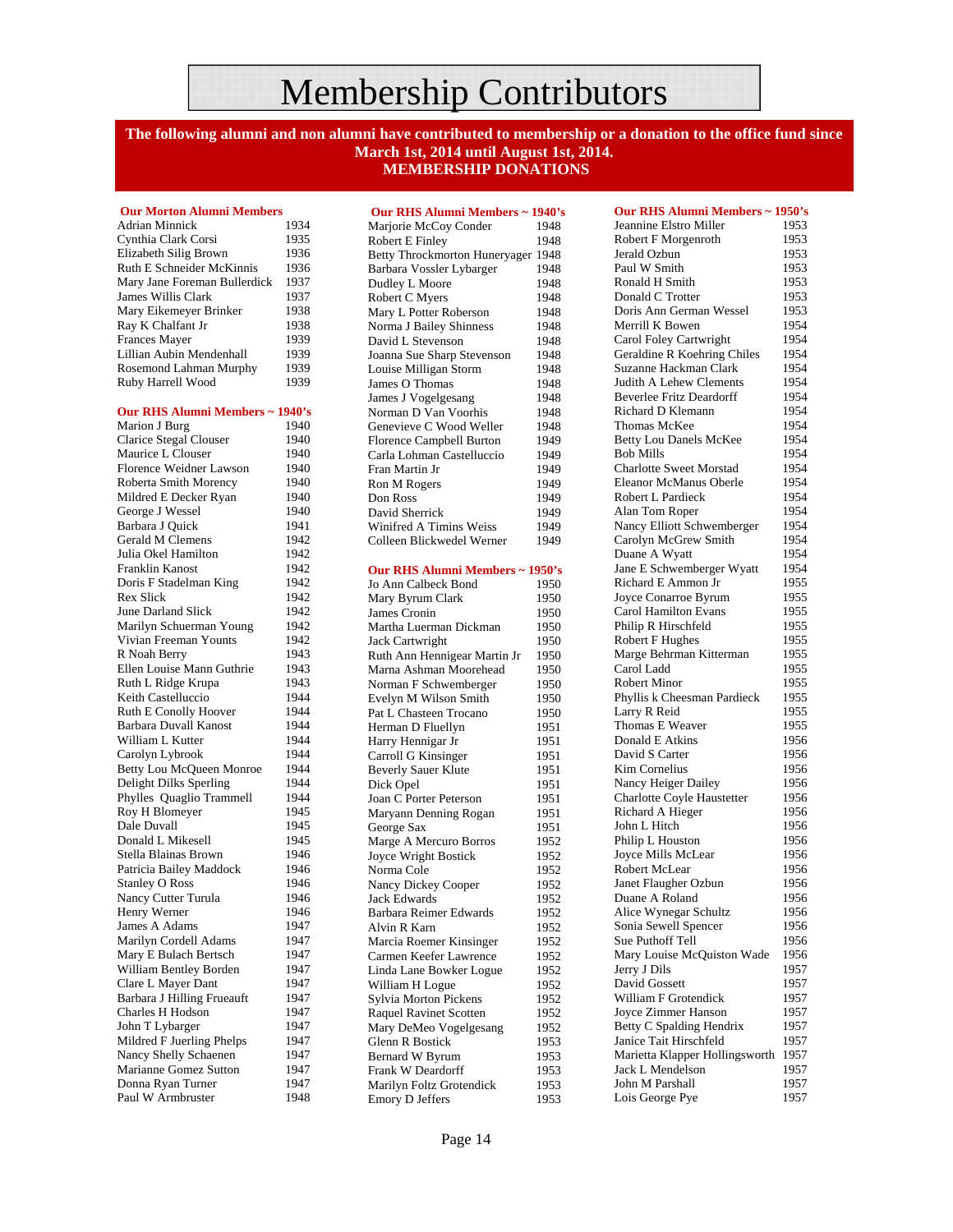### Membership Contributors

**The following alumni and non alumni have contributed to membership or a donation to the office fund since March 1st, 2014 until August 1st, 2014. MEMBERSHIP DONATIONS** 

#### **Our Morton Alumni Members**

Adrian Minnick 1934<br>Cynthia Clark Corsi 1935 Cynthia Clark Corsi Elizabeth Silig Brown 1936<br>Ruth E Schneider McKinnis 1936 Ruth E Schneider McKinnis Mary Jane Foreman Bullerdick 1937 James Willis Clark 1937 Mary Eikemeyer Brinker 1938<br>Ray K Chalfant Jr 1938 Ray K Chalfant Jr Frances Mayer 1939<br>Lillian Aubin Mendenhall 1939 Lillian Aubin Mendenhall 1939<br>Rosemond Lahman Murphy 1939 Rosemond Lahman Murphy 1939<br>Ruby Harrell Wood 1939 Ruby Harrell Wood

#### **Our RHS Alumni Members ~ 1940's**

| Marion J Burg                  | 1940 |
|--------------------------------|------|
| Clarice Stegal Clouser         | 1940 |
| Maurice L Clouser              | 1940 |
| <b>Florence Weidner Lawson</b> | 1940 |
| <b>Roberta Smith Morency</b>   | 1940 |
| Mildred E Decker Ryan          | 1940 |
| George J Wessel                | 1940 |
| Barbara J Quick                | 1941 |
| <b>Gerald M Clemens</b>        | 1942 |
| Julia Okel Hamilton            | 1942 |
| Franklin Kanost                | 1942 |
| Doris F Stadelman King         | 1942 |
| Rex Slick                      | 1942 |
| June Darland Slick             | 1942 |
| Marilyn Schuerman Young        | 1942 |
| Vivian Freeman Younts          | 1942 |
| R Noah Berry                   | 1943 |
| Ellen Louise Mann Guthrie      | 1943 |
| Ruth L Ridge Krupa             | 1943 |
| Keith Castelluccio             | 1944 |
| Ruth E Conolly Hoover          | 1944 |
| <b>Barbara Duvall Kanost</b>   | 1944 |
| William L Kutter               | 1944 |
| Carolyn Lybrook                | 1944 |
| Betty Lou McQueen Monroe       | 1944 |
| Delight Dilks Sperling         | 1944 |
| Phylles Quaglio Trammell       | 1944 |
| Roy H Blomeyer                 | 1945 |
| Dale Duvall                    | 1945 |
| Donald L Mikesell              | 1945 |
| Stella Blainas Brown           | 1946 |
| Patricia Bailey Maddock        | 1946 |
| Stanley O Ross                 | 1946 |
| Nancy Cutter Turula            | 1946 |
| Henry Werner                   | 1946 |
| James A Adams                  | 1947 |
| Marilyn Cordell Adams          | 1947 |
| Mary E Bulach Bertsch          | 1947 |
| William Bentley Borden         | 1947 |
| Clare L Mayer Dant             | 1947 |
| Barbara J Hilling Frueauft     | 1947 |
| Charles H Hodson               | 1947 |
| John T Lybarger                | 1947 |
| Mildred F Juerling Phelps      | 1947 |
| Nancy Shelly Schaenen          | 1947 |
| Marianne Gomez Sutton          | 1947 |
| Donna Ryan Turner              | 1947 |
| Paul W Armbruster              | 1948 |

| Our RHS Alumni Members ~ 1940's                  |              |
|--------------------------------------------------|--------------|
| Marjorie McCoy Conder                            | 1948         |
| Robert E Finley<br>Betty Throckmorton Huneryager | 1948         |
| Barbara Vossler Lybarger                         | 1948<br>1948 |
| Dudley L Moore                                   | 1948         |
| Robert C Myers                                   | 1948         |
| Mary L Potter Roberson                           | 1948         |
| Norma J Bailey Shinness                          | 1948         |
| David L Stevenson                                | 1948         |
| Joanna Sue Sharp Stevenson                       | 1948         |
| Louise Milligan Storm                            | 1948         |
| James O Thomas                                   | 1948         |
| James J Vogelgesang                              | 1948         |
| Norman D Van Voorhis                             | 1948         |
| Genevieve C Wood Weller                          | 1948         |
| Florence Campbell Burton                         | 1949         |
| Carla Lohman Castelluccio                        | 1949         |
| Fran Martin Jr                                   | 1949         |
| Ron M Rogers                                     | 1949         |
| Don Ross                                         | 1949         |
| David Sherrick                                   | 1949         |
| Winifred A Timins Weiss                          | 1949         |
| Colleen Blickwedel Werner                        | 1949         |
|                                                  |              |
| Our RHS Alumni Members ~ 1950's                  |              |
| Jo Ann Calbeck Bond                              | 1950         |
| Mary Byrum Clark                                 | 1950         |
| James Cronin                                     | 1950         |
| Martha Luerman Dickman                           | 1950         |
| Jack Cartwright                                  | 1950         |
| Ruth Ann Hennigear Martin Jr                     | 1950         |
| Marna Ashman Moorehead                           | 1950         |
| Norman F Schwemberger                            | 1950         |
| Evelyn M Wilson Smith                            | 1950         |
| Pat L Chasteen Trocano                           | 1950         |
| Herman D Fluellyn                                | 1951         |
| Harry Hennigar Jr                                | 1951         |
| Carroll G Kinsinger                              | 1951         |
| Beverly Sauer Klute                              | 1951         |
| Dick Opel                                        | 1951         |
| Joan C Porter Peterson                           | 1951         |
| Maryann Denning Rogan                            | 1951         |
| George Sax                                       | 1951         |
| Marge A Mercuro Borros<br>Joyce Wright Bostick   | 1952<br>1952 |
| Norma Cole                                       | 1952         |
| Nancy Dickey Cooper                              | 1952         |
| <b>Jack Edwards</b>                              | 1952         |
| Barbara Reimer Edwards                           | 1952         |
| Alvin R Karn                                     | 1952         |
| Marcia Roemer Kinsinger                          | 1952         |
| Carmen Keefer Lawrence                           | 1952         |
| Linda Lane Bowker Logue                          | 1952         |
| William H Logue                                  | 1952         |
| Sylvia Morton Pickens                            | 1952         |
| <b>Raquel Ravinet Scotten</b>                    | 1952         |
| Mary DeMeo Vogelgesang                           | 1952         |
| Glenn R Bostick                                  | 1953         |
| Bernard W Byrum                                  | 1953         |
| Frank W Deardorff                                | 1953         |
| Marilyn Foltz Grotendick                         | 1953         |
| Emory D Jeffers                                  | 1953         |

| Our RHS Alumni Members ~ 1950's |      |
|---------------------------------|------|
| Jeannine Elstro Miller          | 1953 |
| Robert F Morgenroth             | 1953 |
| Jerald Ozbun                    | 1953 |
| Paul W Smith                    | 1953 |
| Ronald H Smith                  | 1953 |
| Donald C Trotter                | 1953 |
| Doris Ann German Wessel         | 1953 |
| Merrill K Bowen                 | 1954 |
| Carol Foley Cartwright          | 1954 |
| Geraldine R Koehring Chiles     | 1954 |
| Suzanne Hackman Clark           | 1954 |
| Judith A Lehew Clements         | 1954 |
| <b>Beverlee Fritz Deardorff</b> | 1954 |
| Richard D Klemann               | 1954 |
| Thomas McKee                    | 1954 |
| Betty Lou Danels McKee          | 1954 |
| <b>Bob Mills</b>                | 1954 |
| <b>Charlotte Sweet Morstad</b>  | 1954 |
| Eleanor McManus Oberle          | 1954 |
| Robert L Pardieck               | 1954 |
| Alan Tom Roper                  | 1954 |
| Nancy Elliott Schwemberger      | 1954 |
| Carolyn McGrew Smith            | 1954 |
| Duane A Wyatt                   | 1954 |
| Jane E Schwemberger Wyatt       | 1954 |
| Richard E Ammon Jr              | 1955 |
| Joyce Conarroe Byrum            | 1955 |
| Carol Hamilton Evans            | 1955 |
|                                 |      |
| Philip R Hirschfeld             | 1955 |
| Robert F Hughes                 | 1955 |
| Marge Behrman Kitterman         | 1955 |
| Carol Ladd                      | 1955 |
| <b>Robert Minor</b>             | 1955 |
| Phyllis k Cheesman Pardieck     | 1955 |
| Larry R Reid                    | 1955 |
| Thomas E Weaver                 | 1955 |
| Donald E Atkins                 | 1956 |
| David S Carter                  | 1956 |
| Kim Cornelius                   | 1956 |
| Nancy Heiger Dailey             | 1956 |
| Charlotte Coyle Haustetter      | 1956 |
| Richard A Hieger                | 1956 |
| John L Hitch                    | 1956 |
| Philip L Houston                | 1956 |
| Joyce Mills McLear              | 1956 |
| Robert McLear                   | 1956 |
| Janet Flaugher Ozbun            | 1956 |
| Duane A Roland                  | 1956 |
| Alice Wynegar Schultz           | 1956 |
| Sonia Sewell Spencer            | 1956 |
| Sue Puthoff Tell                | 1956 |
| Mary Louise McQuiston Wade      | 1956 |
| Jerry J Dils                    | 1957 |
| David Gossett                   | 1957 |
| William F Grotendick            | 1957 |
| Joyce Zimmer Hanson             | 1957 |
| <b>Betty C Spalding Hendrix</b> | 1957 |
| Janice Tait Hirschfeld          | 1957 |
| Marietta Klapper Hollingsworth  | 1957 |
| Jack L Mendelson                | 1957 |
| John M Parshall                 | 1957 |
| Lois George Pye                 | 1957 |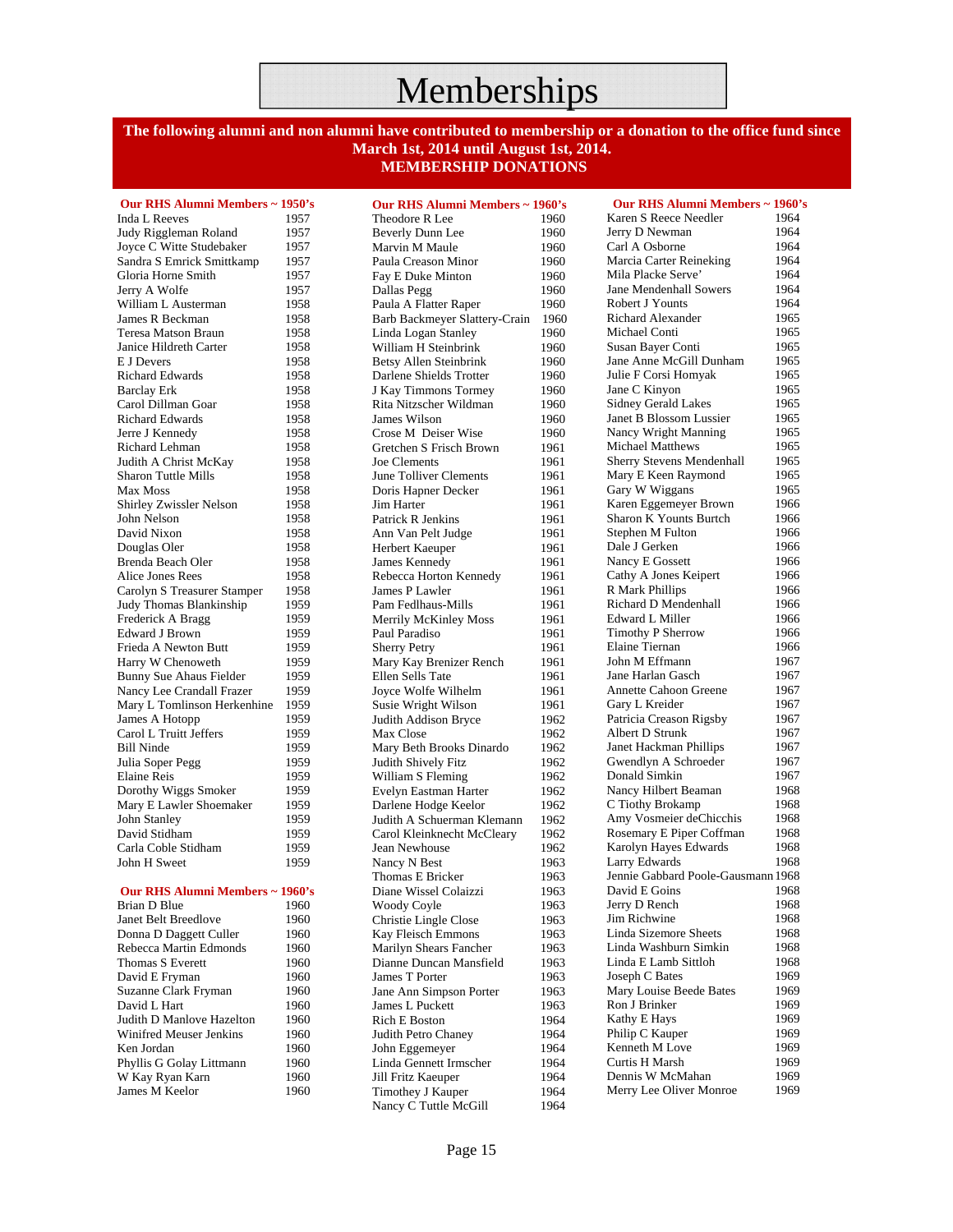### Memberships

#### **The following alumni and non alumni have contributed to membership or a donation to the office fund since March 1st, 2014 until August 1st, 2014. MEMBERSHIP DONATIONS**

| Our RHS Alumni Members ~ 1950's |      |
|---------------------------------|------|
| <b>Inda L Reeves</b>            | 1957 |
| Judy Riggleman Roland           | 1957 |
| Joyce C Witte Studebaker        | 1957 |
| Sandra S Emrick Smittkamp       | 1957 |
| Gloria Horne Smith              | 1957 |
| Jerry A Wolfe                   | 1957 |
| William L Austerman             | 1958 |
| James R Beckman                 | 1958 |
| Teresa Matson Braun             | 1958 |
| Janice Hildreth Carter          | 1958 |
| E J Devers                      | 1958 |
| Richard Edwards                 | 1958 |
| <b>Barclay Erk</b>              | 1958 |
| Carol Dillman Goar              | 1958 |
| <b>Richard Edwards</b>          | 1958 |
| Jerre J Kennedy                 | 1958 |
| Richard Lehman                  | 1958 |
| Judith A Christ McKay           | 1958 |
| Sharon Tuttle Mills             | 1958 |
| Max Moss                        | 1958 |
| Shirley Zwissler Nelson         | 1958 |
| John Nelson                     | 1958 |
| David Nixon                     | 1958 |
| Douglas Oler                    | 1958 |
| Brenda Beach Oler               | 1958 |
| Alice Jones Rees                | 1958 |
| Carolyn S Treasurer Stamper     | 1958 |
| Judy Thomas Blankinship         | 1959 |
| Frederick A Bragg               | 1959 |
| <b>Edward J Brown</b>           | 1959 |
| Frieda A Newton Butt            | 1959 |
| Harry W Chenoweth               | 1959 |
| Bunny Sue Ahaus Fielder         | 1959 |
| Nancy Lee Crandall Frazer       | 1959 |
| Mary L Tomlinson Herkenhine     | 1959 |
| James A Hotopp                  | 1959 |
| Carol L Truitt Jeffers          | 1959 |
| <b>Bill Ninde</b>               | 1959 |
| Julia Soper Pegg                | 1959 |
| <b>Elaine Reis</b>              | 1959 |
| Dorothy Wiggs Smoker            | 1959 |
| Mary E Lawler Shoemaker         | 1959 |
| <b>John Stanley</b>             | 1959 |
| David Stidham                   | 1959 |
| Carla Coble Stidham             | 1959 |
| John H Sweet                    | 1959 |
| Our RHS Alumni Members ~ 1960's |      |
| Brian D Blue                    | 1960 |
| Janet Belt Breedlove            | 1960 |
| Donna D Daggett Culler          | 1960 |

| Brian D Blue                | 1960 |
|-----------------------------|------|
| <b>Janet Belt Breedlove</b> | 1960 |
| Donna D Daggett Culler      | 1960 |
| Rebecca Martin Edmonds      | 1960 |
| Thomas S Everett            | 1960 |
| David E Fryman              | 1960 |
| Suzanne Clark Fryman        | 1960 |
| David L Hart                | 1960 |
| Judith D Manlove Hazelton   | 1960 |
| Winifred Meuser Jenkins     | 1960 |
| Ken Jordan                  | 1960 |
| Phyllis G Golay Littmann    | 1960 |
| W Kay Ryan Karn             | 1960 |
| James M Keelor              | 1960 |

**Our RHS Alumni Members ~ 1960's** Theodore R Lee 1960 Beverly Dunn Lee 1960<br>Marvin M Maule 1960 Marvin M Maule Paula Creason Minor 1960 Fay E Duke Minton 1960 Dallas Pegg 1960 Paula A Flatter Raper 1960 Barb Backmeyer Slattery-Crain 1960 Linda Logan Stanley 1960 William H Steinbrink 1960 Betsy Allen Steinbrink 1960 Darlene Shields Trotter 1960 J Kay Timmons Tormey 1960 Rita Nitzscher Wildman 1960 James Wilson 1960 Crose M Deiser Wise 1960 Gretchen S Frisch Brown 1961 Joe Clements 1961 June Tolliver Clements 1961 Doris Hapner Decker 1961<br>Jim Harter 1961 Jim Harter Patrick R Jenkins 1961 Ann Van Pelt Judge 1961 Herbert Kaeuper 1961<br>James Kennedy 1961 James Kennedy Rebecca Horton Kennedy 1961 James P Lawler 1961 Pam Fedlhaus-Mills 1961 Merrily McKinley Moss 1961 Paul Paradiso 1961 Sherry Petry 1961<br>
Mary Kay Brenizer Rench 1961 Mary Kay Brenizer Rench Ellen Sells Tate 1961<br>Jovce Wolfe Wilhelm 1961 Joyce Wolfe Wilhelm Susie Wright Wilson 1961<br>Judith Addison Bryce 1962 Judith Addison Bryce Max Close 1962 Mary Beth Brooks Dinardo 1962 Judith Shively Fitz 1962<br>William S. Fleming 1962 William S Fleming Evelyn Eastman Harter 1962 Darlene Hodge Keelor 1962 Judith A Schuerman Klemann 1962 Carol Kleinknecht McCleary 1962 Jean Newhouse 1962 Nancy N Best 1963 Thomas E Bricker 1963 Diane Wissel Colaizzi 1963 Woody Coyle 1963 Christie Lingle Close 1963<br>
Kay Fleisch Emmons 1963 Kay Fleisch Emmons Marilyn Shears Fancher 1963 Dianne Duncan Mansfield 1963 James T Porter 1963<br>
Iane Ann Simpson Porter 1963 **Jane Ann Simpson Porter** James L Puckett 1963 Rich E Boston 1964<br>Judith Petro Chaney 1964 Judith Petro Chaney 1964<br>John Eggemever 1964 John Eggemeyer Linda Gennett Irmscher 1964<br>
Jill Fritz Kaeuper 1964 Jill Fritz Kaeuper Timothey J Kauper 1964<br>Nancy C Tuttle McGill 1964 Nancy C Tuttle McGill

 **Our RHS Alumni Members ~ 1960's**  Karen S Reece Needler 1964<br>
Ierry D Newman 1964 Jerry D Newman 1964<br>Carl A Osborne 1964 Carl A Osborne Marcia Carter Reineking 1964<br>Mila Placke Serve' 1964 Mila Placke Serve' Jane Mendenhall Sowers 1964 Robert J Younts 1964 Richard Alexander 1965<br>Michael Conti 1965 Michael Conti Susan Bayer Conti 1965 Jane Anne McGill Dunham 1965 Julie F Corsi Homyak 1965 Jane C Kinyon 1965 Sidney Gerald Lakes 1965 Janet B Blossom Lussier 1965 Nancy Wright Manning 1965 Michael Matthews 1965<br>Sherry Stevens Mendenhall 1965 Sherry Stevens Mendenhall Mary E Keen Raymond 1965<br>Gary W Wiggans 1965 Gary W Wiggans Karen Eggemeyer Brown 1966 Sharon K Younts Burtch 1966 Stephen M Fulton 1966<br>Dale J Gerken 1966 Dale J Gerken Nancy E Gossett 1966 Cathy A Jones Keipert 1966 R Mark Phillips 1966 Richard D Mendenhall 1966 Edward L Miller 1966 Timothy P Sherrow 1966 Elaine Tiernan 1966 John M Effmann 1967 Jane Harlan Gasch 1967 Annette Cahoon Greene 1967 Gary L Kreider 1967 Patricia Creason Rigsby 1967 Albert D Strunk 1967 Janet Hackman Phillips 1967<br>Gwendlyn A Schroeder 1967 Gwendlyn A Schroeder Donald Simkin 1967 Nancy Hilbert Beaman 1968 C Tiothy Brokamp 1968<br>Amy Vosmeier de Chicchis 1968 Amy Vosmeier deChicchis Rosemary E Piper Coffman 1968 Karolyn Hayes Edwards 1968<br>Larry Edwards 1968 Larry Edwards Jennie Gabbard Poole-Gausmann 1968 David E Goins 1968 Jerry D Rench 1968 Jim Richwine 1968 Linda Sizemore Sheets 1968 Linda Washburn Simkin 1968 Linda E Lamb Sittloh 1968 Joseph C Bates 1969 Mary Louise Beede Bates 1969 Ron J Brinker 1969 Kathy E Hays 1969 Philip C Kauper 1969 Kenneth M Love 1969 Curtis H Marsh 1969<br>
Dennis W McMahan 1969 Dennis W McMahan Merry Lee Oliver Monroe 1969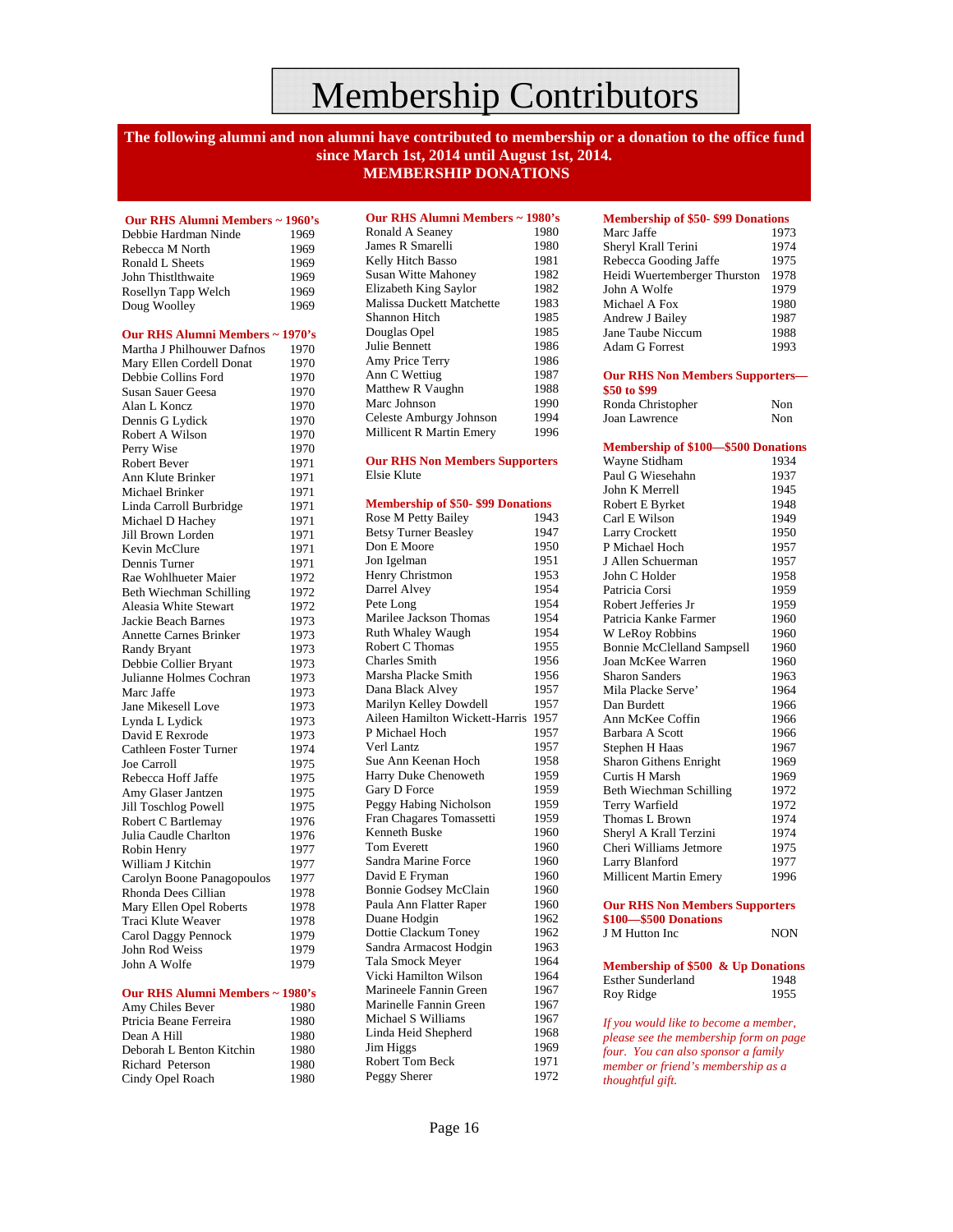### Membership Contributors

#### **The following alumni and non alumni have contributed to membership or a donation to the office fund since March 1st, 2014 until August 1st, 2014. MEMBERSHIP DONATIONS**

 **Our RHS Alumni Members ~ 1960's**  Debbie Hardman Ninde 1969 Rebecca M North 1969 Ronald L Sheets 1969 John Thistlthwaite 1969 Rosellyn Tapp Welch 1969<br>Doug Woolley 1969 Doug Woolley **Our RHS Alumni Members ~ 1970's**  Martha J Philhouwer Dafnos 1970 Mary Ellen Cordell Donat 1970<br>Debbie Collins Ford 1970 Debbie Collins Ford Susan Sauer Geesa 1970<br>Alan L<br/> Koncz 1970 Alan L Koncz Dennis G Lydick 1970<br>Robert A Wilson 1970 Robert A Wilson Perry Wise 1970 Robert Bever 1971 Ann Klute Brinker 1971 Michael Brinker 1971 Linda Carroll Burbridge 1971 Michael D Hachey 1971 Jill Brown Lorden 1971 Kevin McClure 1971<br>Dennis Turner 1971 Dennis Turner Rae Wohlhueter Maier 1972<br>Beth Wiechman Schilling 1972 Beth Wiechman Schilling Aleasia White Stewart 1972 Jackie Beach Barnes 1973 Annette Carnes Brinker 1973<br>Randy Bryant 1973 Randy Bryant Debbie Collier Bryant 1973 Julianne Holmes Cochran 1973 Marc Jaffe 1973<br>Jane Mikesell Love 1973 Jane Mikesell Love Lynda L Lydick 1973 David E Rexrode 1973 Cathleen Foster Turner 1974<br>Joe Carroll 1975 Joe Carroll Rebecca Hoff Jaffe 1975 Amy Glaser Jantzen 1975 Jill Toschlog Powell 1975 Robert C Bartlemay 1976 Julia Caudle Charlton 1976 Robin Henry 1977 William J Kitchin 1977 Carolyn Boone Panagopoulos 1977 Rhonda Dees Cillian 1978 Mary Ellen Opel Roberts 1978<br>Traci Klute Weaver 1978 Traci Klute Weaver Carol Daggy Pennock 1979<br>John Rod Weiss 1979 John Rod Weiss 1979<br>
John A Wolfe 1979 John A Wolfe

#### **Our RHS Alumni Members ~ 1980's**

| Amy Chiles Bever         | 1980 |
|--------------------------|------|
| Ptricia Beane Ferreira   | 1980 |
| Dean A Hill              | 1980 |
| Deborah L Benton Kitchin | 1980 |
| Richard Peterson         | 1980 |
| Cindy Opel Roach         | 1980 |

| Our RHS Alumni Members ~ 1980's |      |
|---------------------------------|------|
| Ronald A Seaney                 | 1980 |
| James R Smarelli                | 1980 |
| Kelly Hitch Basso               | 1981 |
| <b>Susan Witte Mahoney</b>      | 1982 |
| Elizabeth King Saylor           | 1982 |
| Malissa Duckett Matchette       | 1983 |
| Shannon Hitch                   | 1985 |
| Douglas Opel                    | 1985 |
| Julie Bennett                   | 1986 |
| Amy Price Terry                 | 1986 |
| Ann C Wettiug                   | 1987 |
| Matthew R Vaughn                | 1988 |
| Marc Johnson                    | 1990 |
| Celeste Amburgy Johnson         | 1994 |
| Millicent R Martin Emery        | 1996 |

#### **Our RHS Non Members Supporters** Elsie Klute

| <b>Membership of \$50- \$99 Donations</b> |      |  |
|-------------------------------------------|------|--|
| Rose M Petty Bailey                       | 1943 |  |
| <b>Betsy Turner Beasley</b>               | 1947 |  |
| Don E Moore                               | 1950 |  |
| Jon Igelman                               | 1951 |  |
| Henry Christmon                           | 1953 |  |
| Darrel Alvey                              | 1954 |  |
| Pete Long                                 | 1954 |  |
| Marilee Jackson Thomas                    | 1954 |  |
| Ruth Whaley Waugh                         | 1954 |  |
| Robert C Thomas                           | 1955 |  |
| Charles Smith                             | 1956 |  |
| Marsha Placke Smith                       | 1956 |  |
| Dana Black Alvey                          | 1957 |  |
| Marilyn Kelley Dowdell                    | 1957 |  |
| Aileen Hamilton Wickett-Harris            | 1957 |  |
| P Michael Hoch                            | 1957 |  |
| Verl Lantz                                | 1957 |  |
| Sue Ann Keenan Hoch                       | 1958 |  |
| Harry Duke Chenoweth                      | 1959 |  |
| Gary D Force                              | 1959 |  |
| Peggy Habing Nicholson                    | 1959 |  |
| Fran Chagares Tomassetti                  | 1959 |  |
| <b>Kenneth Buske</b>                      | 1960 |  |
| <b>Tom Everett</b>                        | 1960 |  |
| Sandra Marine Force                       | 1960 |  |
| David E Fryman                            | 1960 |  |
| <b>Bonnie Godsey McClain</b>              | 1960 |  |
| Paula Ann Flatter Raper                   | 1960 |  |
| Duane Hodgin                              | 1962 |  |
| Dottie Clackum Toney                      | 1962 |  |
| Sandra Armacost Hodgin                    | 1963 |  |
| Tala Smock Meyer                          | 1964 |  |
| Vicki Hamilton Wilson                     | 1964 |  |
| Marineele Fannin Green                    | 1967 |  |
| Marinelle Fannin Green                    | 1967 |  |
| Michael S Williams                        | 1967 |  |
| Linda Heid Shepherd                       | 1968 |  |
| Jim Higgs                                 | 1969 |  |
| <b>Robert Tom Beck</b>                    | 1971 |  |
| Peggy Sherer                              | 1972 |  |
|                                           |      |  |

| <b>Membership of \$50-\$99 Donations</b> |      |  |
|------------------------------------------|------|--|
| Marc Jaffe                               | 1973 |  |
| Sheryl Krall Terini                      | 1974 |  |
| Rebecca Gooding Jaffe                    | 1975 |  |
| Heidi Wuertemberger Thurston             | 1978 |  |
| John A Wolfe                             | 1979 |  |
| Michael A Fox                            | 1980 |  |
| Andrew J Bailey                          | 1987 |  |
| Jane Taube Niccum                        | 1988 |  |
| Adam G Forrest                           | 1993 |  |

#### **Our RHS Non Members Supporters— \$50 to \$99**

| Ronda Christopher | Non |
|-------------------|-----|
| Joan Lawrence     | Non |

| <b>Membership of \$100-\$500 Donations</b> |            |  |
|--------------------------------------------|------------|--|
| Wayne Stidham                              | 1934       |  |
| Paul G Wiesehahn                           | 1937       |  |
| John K Merrell                             | 1945       |  |
| Robert E Byrket                            | 1948       |  |
| Carl E Wilson                              | 1949       |  |
| <b>Larry Crockett</b>                      | 1950       |  |
| P Michael Hoch                             | 1957       |  |
| J Allen Schuerman                          | 1957       |  |
| John C Holder                              | 1958       |  |
| Patricia Corsi                             | 1959       |  |
| Robert Jefferies Jr                        | 1959       |  |
| Patricia Kanke Farmer                      | 1960       |  |
| W LeRoy Robbins                            | 1960       |  |
| <b>Bonnie McClelland Sampsell</b>          | 1960       |  |
| Joan McKee Warren                          | 1960       |  |
| <b>Sharon Sanders</b>                      | 1963       |  |
| Mila Placke Serve'                         | 1964       |  |
| Dan Burdett                                | 1966       |  |
| Ann McKee Coffin                           | 1966       |  |
| Barbara A Scott                            | 1966       |  |
| Stephen H Haas                             | 1967       |  |
| <b>Sharon Githens Enright</b>              | 1969       |  |
| <b>Curtis H Marsh</b>                      | 1969       |  |
| Beth Wiechman Schilling                    | 1972       |  |
| Terry Warfield                             | 1972       |  |
| Thomas L Brown                             | 1974       |  |
| Sheryl A Krall Terzini                     | 1974       |  |
| Cheri Williams Jetmore                     | 1975       |  |
| Larry Blanford                             | 1977       |  |
| <b>Millicent Martin Emery</b>              | 1996       |  |
| <b>Our RHS Non Members Supporters</b>      |            |  |
| \$100-\$500 Donations                      |            |  |
| J M Hutton Inc                             | <b>NON</b> |  |
| Membership of \$500 & Up Donations         |            |  |
| <b>Esther Sunderland</b>                   | 1948       |  |
| Roy Ridge                                  | 1955       |  |
|                                            |            |  |
| If you would like to become a member,      |            |  |

*please see the membership form on page four. You can also sponsor a family member or friend's membership as a thoughtful gift.*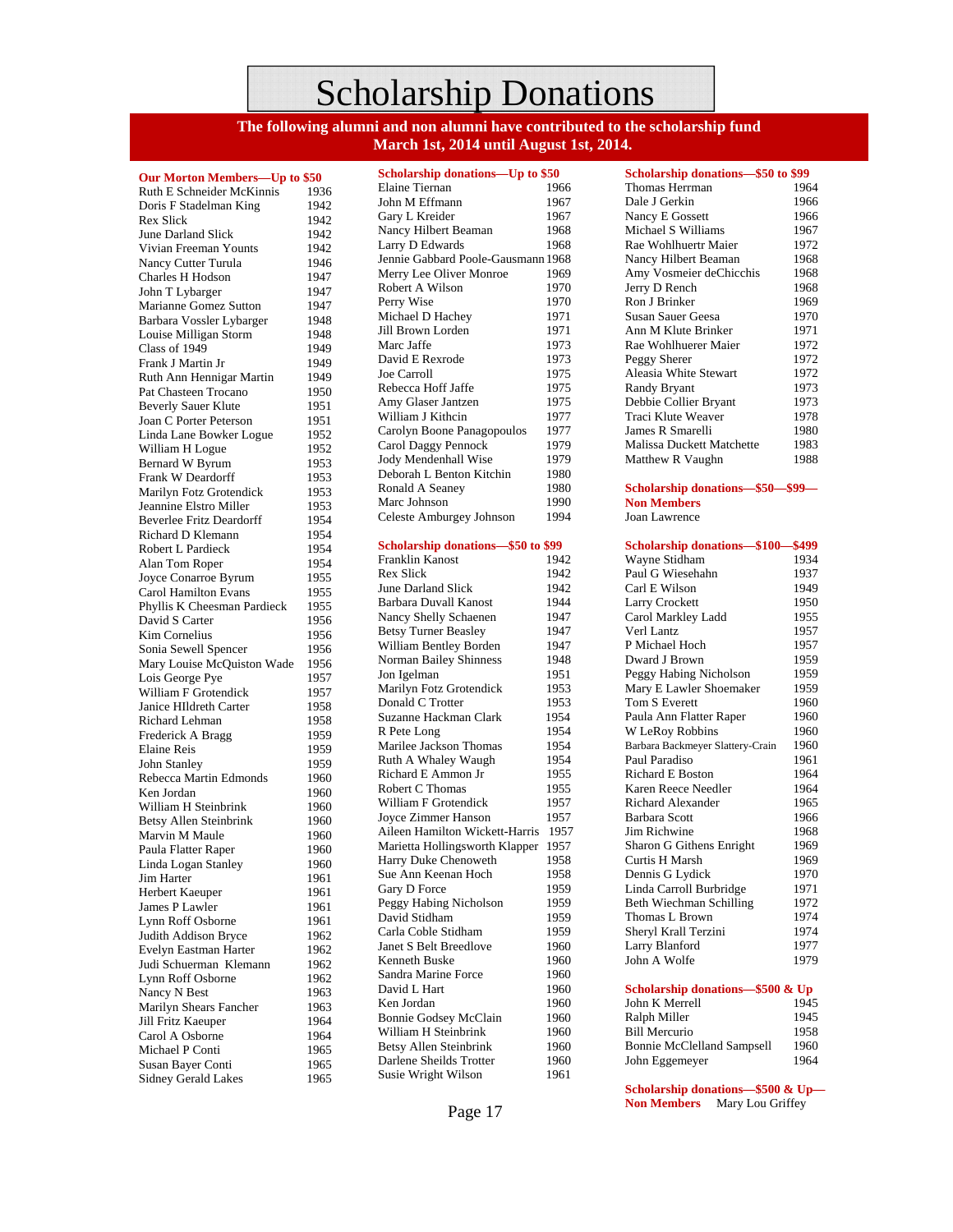### Scholarship Donations

**The following alumni and non alumni have contributed to the scholarship fund March 1st, 2014 until August 1st, 2014.** 

#### **Our Morton Members—Up to \$50**

Ruth E Schneider McKinnis 1936 Doris F Stadelman King 1942<br>Rex Slick 1942 Rex Slick June Darland Slick 1942 Vivian Freeman Younts 1942 Nancy Cutter Turula 1946 Charles H Hodson 1947<br>John T Lybarger 1947 John T Lybarger Marianne Gomez Sutton 1947 Barbara Vossler Lybarger 1948<br>Louise Milligan Storm 1948 Louise Milligan Storm 1948<br>Class of 1949 1949 Class of 1949 Frank J Martin Jr 1949 Ruth Ann Hennigar Martin 1949<br>Pat Chasteen Trocano 1950 Pat Chasteen Trocano Beverly Sauer Klute 1951 Joan C Porter Peterson 1951<br>Linda Lane Bowker Logue 1952 Linda Lane Bowker Logue 1952<br>William H Logue 1952 William H Logue Bernard W Byrum 1953 Frank W Deardorff 1953 Marilyn Fotz Grotendick 1953 Jeannine Elstro Miller 1953 Beverlee Fritz Deardorff 1954 Richard D Klemann 1954 Robert L Pardieck 1954<br>Alan Tom Roper 1954 Alan Tom Roper Joyce Conarroe Byrum 1955 Carol Hamilton Evans 1955 Phyllis K Cheesman Pardieck 1955 David S Carter 1956 Kim Cornelius 1956<br>Sonia Sewell Spencer 1956 Sonia Sewell Spencer Mary Louise McQuiston Wade 1956 Lois George Pye 1957 William F Grotendick 1957<br>Janice HIldreth Carter 1958 Janice HIldreth Carter Richard Lehman 1958<br>Frederick A Bragg 1959 Frederick A Bragg Elaine Reis 1959<br>John Stanley 1959 John Stanley Rebecca Martin Edmonds 1960 Ken Jordan 1960 William H Steinbrink 1960<br>Betsy Allen Steinbrink 1960 Betsy Allen Steinbrink Marvin M Maule 1960 Paula Flatter Raper 1960<br>Linda Logan Stanley 1960 Linda Logan Stanley Jim Harter 1961 Herbert Kaeuper 1961 James P Lawler 1961<br>
I vnn Roff Osborne 1961 Lynn Roff Osborne Judith Addison Bryce 1962 Evelyn Eastman Harter 1962 Judi Schuerman Klemann 1962<br>Lynn Roff Osborne 1962 Lynn Roff Osborne Nancy N Best 1963 Marilyn Shears Fancher 1963 Jill Fritz Kaeuper 1964<br>Carol A Osborne 1964 Carol A Osborne Michael P Conti 1965 Susan Bayer Conti 1965 Sidney Gerald Lakes 1965

| Scholarship donations-Up to \$50   |      |
|------------------------------------|------|
| Elaine Tiernan                     | 1966 |
| John M Effmann                     | 1967 |
| Gary L Kreider                     | 1967 |
| Nancy Hilbert Beaman               | 1968 |
| Larry D Edwards                    | 1968 |
| Jennie Gabbard Poole-Gausmann 1968 |      |
| Merry Lee Oliver Monroe            | 1969 |
| Robert A Wilson                    | 1970 |
| Perry Wise                         | 1970 |
| Michael D Hachey                   | 1971 |
| Jill Brown Lorden                  | 1971 |
| Marc Jaffe                         | 1973 |
| David E Rexrode                    | 1973 |
| Joe Carroll                        | 1975 |
| Rebecca Hoff Jaffe                 | 1975 |
| Amy Glaser Jantzen                 | 1975 |
| William J Kithcin                  |      |
|                                    | 1977 |
| Carolyn Boone Panagopoulos         | 1977 |
| Carol Daggy Pennock                | 1979 |
| Jody Mendenhall Wise               | 1979 |
| Deborah L Benton Kitchin           | 1980 |
| Ronald A Seaney                    | 1980 |
| Marc Johnson                       | 1990 |
| Celeste Amburgey Johnson           | 1994 |
|                                    |      |
| Scholarship donations-\$50 to \$99 |      |
| <b>Franklin Kanost</b>             | 1942 |
| <b>Rex Slick</b>                   | 1942 |
| June Darland Slick                 | 1942 |
| <b>Barbara Duvall Kanost</b>       | 1944 |
| Nancy Shelly Schaenen              | 1947 |
| <b>Betsy Turner Beasley</b>        | 1947 |
| William Bentley Borden             | 1947 |
| <b>Norman Bailey Shinness</b>      | 1948 |
| Jon Igelman                        | 1951 |
| Marilyn Fotz Grotendick            | 1953 |
| Donald C Trotter                   | 1953 |
| Suzanne Hackman Clark              | 1954 |
| R Pete Long                        | 1954 |
| Marilee Jackson Thomas             | 1954 |
| Ruth A Whaley Waugh                | 1954 |
| Richard E Ammon Jr                 | 1955 |
| Robert C Thomas                    | 1955 |
| William F Grotendick               | 1957 |
| Joyce Zimmer Hanson                | 1957 |
| Aileen Hamilton Wickett-Harris     | 1957 |
| Marietta Hollingsworth Klapper     | 1957 |
| Harry Duke Chenoweth               | 1958 |
| Sue Ann Keenan Hoch                | 1958 |
| Gary D Force                       | 1959 |
| Peggy Habing Nicholson             | 1959 |
| David Stidham                      | 1959 |
| Carla Coble Stidham                | 1959 |
| Janet S Belt Breedlove             | 1960 |
| Kenneth Buske                      | 1960 |
| Sandra Marine Force                | 1960 |
| David L Hart                       | 1960 |
| Ken Jordan                         | 1960 |
| <b>Bonnie Godsey McClain</b>       | 1960 |
| William H Steinbrink               | 1960 |
|                                    |      |
| <b>Betsy Allen Steinbrink</b>      | 1960 |
| Darlene Sheilds Trotter            | 1960 |
| Susie Wright Wilson                | 1961 |

| Scholarship donations-\$50 to \$99 |      |  |
|------------------------------------|------|--|
| Thomas Herrman                     | 1964 |  |
| Dale J Gerkin                      | 1966 |  |
| Nancy E Gossett                    | 1966 |  |
| Michael S Williams                 | 1967 |  |
| Rae Wohlhuertr Maier               | 1972 |  |
| Nancy Hilbert Beaman               | 1968 |  |
| Amy Vosmeier deChicchis            | 1968 |  |
| Jerry D Rench                      | 1968 |  |
| Ron J Brinker                      | 1969 |  |
| Susan Sauer Geesa                  | 1970 |  |
| Ann M Klute Brinker                | 1971 |  |
| Rae Wohlhuerer Maier               | 1972 |  |
| Peggy Sherer                       | 1972 |  |
| Aleasia White Stewart              | 1972 |  |
| Randy Bryant                       | 1973 |  |
| Debbie Collier Bryant              | 1973 |  |
| Traci Klute Weaver                 | 1978 |  |
| James R Smarelli                   | 1980 |  |
| Malissa Duckett Matchette          | 1983 |  |
| Matthew R Vaughn                   | 1988 |  |
|                                    |      |  |
| Scholarship donations-\$50-\$99-   |      |  |
| <b>Non Members</b>                 |      |  |
| Joan Lawrence                      |      |  |
|                                    |      |  |
| Scholarship donations-\$100-\$499  |      |  |
| Wayne Stidham                      | 1934 |  |
| Paul G Wiesehahn                   | 1937 |  |
| Carl E Wilson                      | 1949 |  |
| Larry Crockett                     | 1950 |  |
| Carol Markley Ladd                 | 1955 |  |
| Verl Lantz                         | 1957 |  |
| P Michael Hoch                     | 1957 |  |
| Dward J Brown                      | 1959 |  |
| Peggy Habing Nicholson             | 1959 |  |
| Mary E Lawler Shoemaker            | 1959 |  |
| Tom S Everett                      | 1960 |  |
| Paula Ann Flatter Raper            | 1960 |  |
| W LeRoy Robbins                    | 1960 |  |
| Barbara Backmeyer Slattery-Crain   | 1960 |  |
| Paul Paradiso                      | 1961 |  |
| <b>Richard E Boston</b>            | 1964 |  |
| Karen Reece Needler                | 1964 |  |
| <b>Richard Alexander</b>           | 1965 |  |
| Barbara Scott                      | 1966 |  |
| Jim Richwine                       | 1968 |  |
| Sharon G Githens Enright           | 1969 |  |
| Curtis H Marsh                     | 1969 |  |
| Dennis G Lydick                    | 1970 |  |
| Linda Carroll Burbridge            | 1971 |  |
| Beth Wiechman Schilling            | 1972 |  |
| Thomas L Brown                     | 1974 |  |
| Sheryl Krall Terzini               | 1974 |  |
| Larry Blanford                     | 1977 |  |
| John A Wolfe                       | 1979 |  |
| Scholarship donations-\$500 & Up   |      |  |
| John K Merrell                     | 1945 |  |
| Ralph Miller                       | 1945 |  |
| <b>Bill Mercurio</b>               | 1958 |  |

**Scholarship donations—\$500 & Up— Non Members** Mary Lou Griffey

Bonnie McClelland Sampsell 1960<br>John Eggemeyer 1964

John Eggemeyer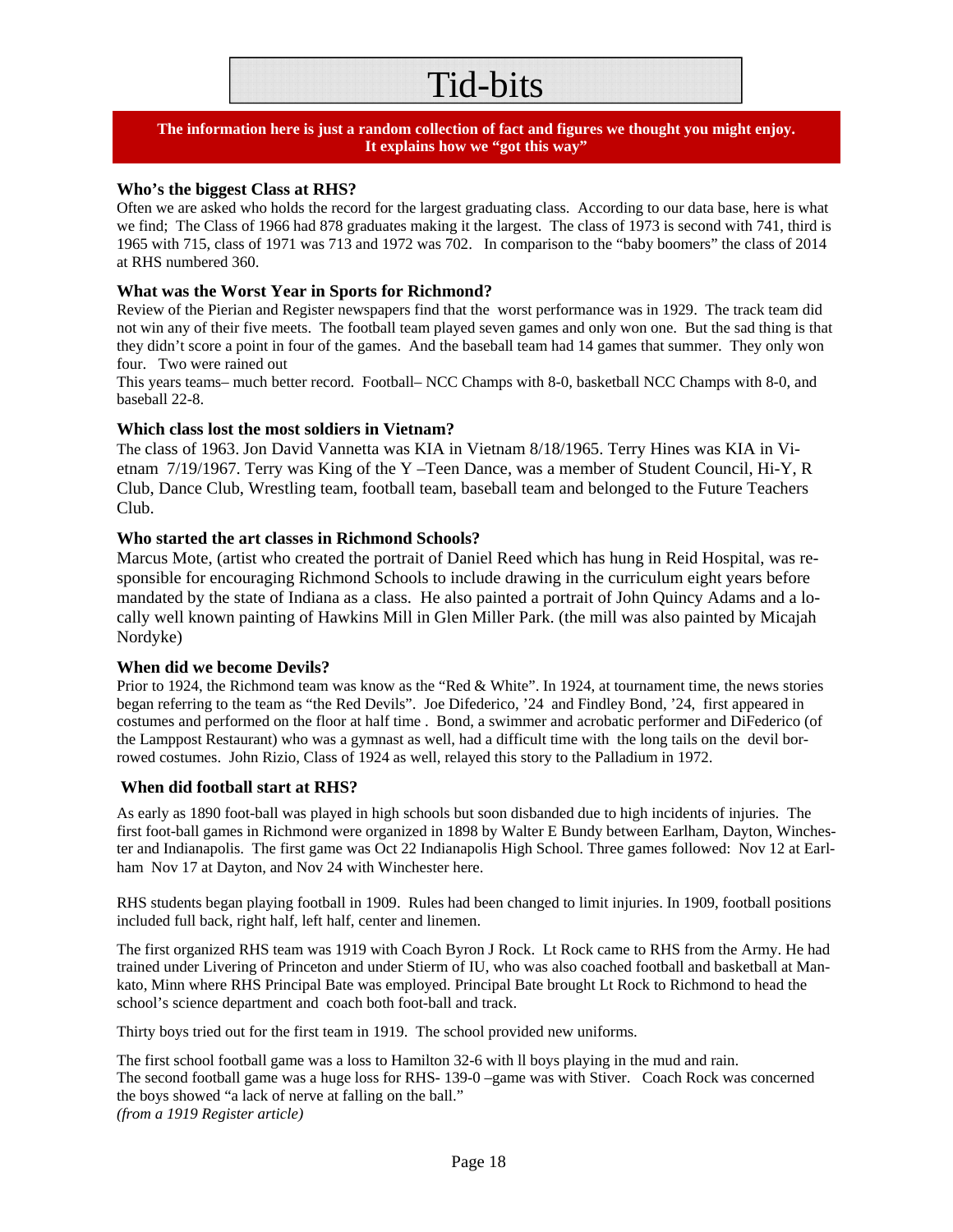## Tid-bits

### **The information here is just a random collection of fact and figures we thought you might enjoy. It explains how we "got this way"**

### **Who's the biggest Class at RHS?**

Often we are asked who holds the record for the largest graduating class. According to our data base, here is what we find; The Class of 1966 had 878 graduates making it the largest. The class of 1973 is second with 741, third is 1965 with 715, class of 1971 was 713 and 1972 was 702. In comparison to the "baby boomers" the class of 2014 at RHS numbered 360.

### **What was the Worst Year in Sports for Richmond?**

Review of the Pierian and Register newspapers find that the worst performance was in 1929. The track team did not win any of their five meets. The football team played seven games and only won one. But the sad thing is that they didn't score a point in four of the games. And the baseball team had 14 games that summer. They only won four. Two were rained out

This years teams– much better record. Football– NCC Champs with 8-0, basketball NCC Champs with 8-0, and baseball 22-8.

### **Which class lost the most soldiers in Vietnam?**

The class of 1963. Jon David Vannetta was KIA in Vietnam 8/18/1965. Terry Hines was KIA in Vietnam 7/19/1967. Terry was King of the Y –Teen Dance, was a member of Student Council, Hi-Y, R Club, Dance Club, Wrestling team, football team, baseball team and belonged to the Future Teachers Club.

#### **Who started the art classes in Richmond Schools?**

Marcus Mote, (artist who created the portrait of Daniel Reed which has hung in Reid Hospital, was responsible for encouraging Richmond Schools to include drawing in the curriculum eight years before mandated by the state of Indiana as a class. He also painted a portrait of John Quincy Adams and a locally well known painting of Hawkins Mill in Glen Miller Park. (the mill was also painted by Micajah Nordyke)

#### **When did we become Devils?**

Prior to 1924, the Richmond team was know as the "Red & White". In 1924, at tournament time, the news stories began referring to the team as "the Red Devils". Joe Difederico, '24 and Findley Bond, '24, first appeared in costumes and performed on the floor at half time . Bond, a swimmer and acrobatic performer and DiFederico (of the Lamppost Restaurant) who was a gymnast as well, had a difficult time with the long tails on the devil borrowed costumes. John Rizio, Class of 1924 as well, relayed this story to the Palladium in 1972.

#### **When did football start at RHS?**

As early as 1890 foot-ball was played in high schools but soon disbanded due to high incidents of injuries. The first foot-ball games in Richmond were organized in 1898 by Walter E Bundy between Earlham, Dayton, Winchester and Indianapolis. The first game was Oct 22 Indianapolis High School. Three games followed: Nov 12 at Earlham Nov 17 at Dayton, and Nov 24 with Winchester here.

RHS students began playing football in 1909. Rules had been changed to limit injuries. In 1909, football positions included full back, right half, left half, center and linemen.

The first organized RHS team was 1919 with Coach Byron J Rock. Lt Rock came to RHS from the Army. He had trained under Livering of Princeton and under Stierm of IU, who was also coached football and basketball at Mankato, Minn where RHS Principal Bate was employed. Principal Bate brought Lt Rock to Richmond to head the school's science department and coach both foot-ball and track.

Thirty boys tried out for the first team in 1919. The school provided new uniforms.

The first school football game was a loss to Hamilton 32-6 with ll boys playing in the mud and rain. The second football game was a huge loss for RHS- 139-0 –game was with Stiver. Coach Rock was concerned the boys showed "a lack of nerve at falling on the ball." *(from a 1919 Register article)*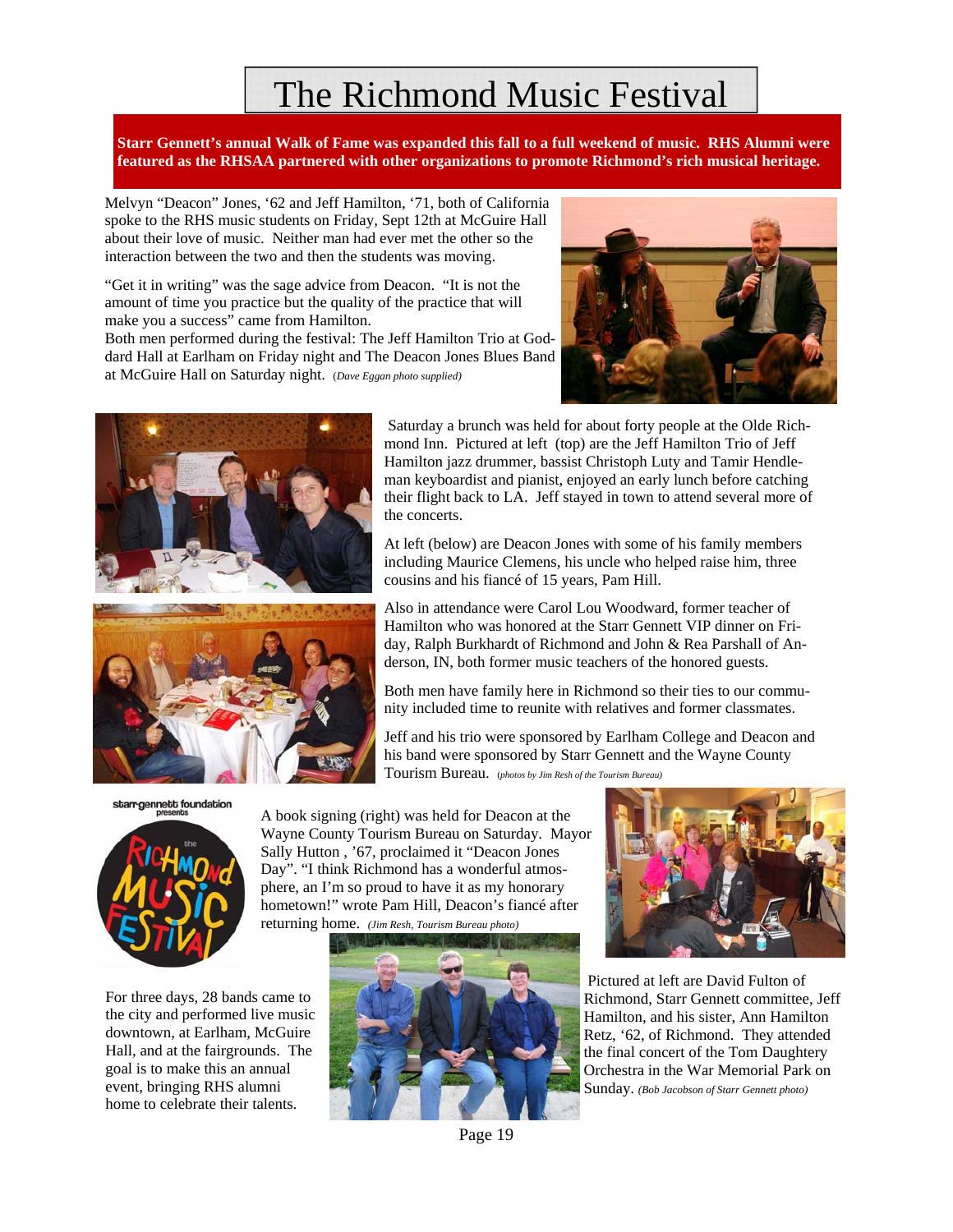### The Richmond Music Festival

**Starr Gennett's annual Walk of Fame was expanded this fall to a full weekend of music. RHS Alumni were featured as the RHSAA partnered with other organizations to promote Richmond's rich musical heritage.** 

Melvyn "Deacon" Jones, '62 and Jeff Hamilton, '71, both of California spoke to the RHS music students on Friday, Sept 12th at McGuire Hall about their love of music. Neither man had ever met the other so the interaction between the two and then the students was moving.

"Get it in writing" was the sage advice from Deacon. "It is not the amount of time you practice but the quality of the practice that will make you a success" came from Hamilton.

Both men performed during the festival: The Jeff Hamilton Trio at Goddard Hall at Earlham on Friday night and The Deacon Jones Blues Band at McGuire Hall on Saturday night. (*Dave Eggan photo supplied)* 





Hamilton jazz drummer, bassist Christoph Luty and Tamir Hendleman keyboardist and pianist, enjoyed an early lunch before catching their flight back to LA. Jeff stayed in town to attend several more of the concerts.

Saturday a brunch was held for about forty people at the Olde Rich-

At left (below) are Deacon Jones with some of his family members including Maurice Clemens, his uncle who helped raise him, three cousins and his fiancé of 15 years, Pam Hill.

Also in attendance were Carol Lou Woodward, former teacher of Hamilton who was honored at the Starr Gennett VIP dinner on Friday, Ralph Burkhardt of Richmond and John & Rea Parshall of Anderson, IN, both former music teachers of the honored guests.

Both men have family here in Richmond so their ties to our community included time to reunite with relatives and former classmates.

Jeff and his trio were sponsored by Earlham College and Deacon and his band were sponsored by Starr Gennett and the Wayne County Tourism Bureau. (*photos by Jim Resh of the Tourism Bureau)* 



For three days, 28 bands came to the city and performed live music downtown, at Earlham, McGuire Hall, and at the fairgrounds. The goal is to make this an annual event, bringing RHS alumni home to celebrate their talents.

A book signing (right) was held for Deacon at the Wayne County Tourism Bureau on Saturday. Mayor Sally Hutton , '67, proclaimed it "Deacon Jones Day". "I think Richmond has a wonderful atmosphere, an I'm so proud to have it as my honorary hometown!" wrote Pam Hill, Deacon's fiancé after returning home. *(Jim Resh, Tourism Bureau photo)* 





 Pictured at left are David Fulton of Richmond, Starr Gennett committee, Jeff Hamilton, and his sister, Ann Hamilton Retz, '62, of Richmond. They attended the final concert of the Tom Daughtery Orchestra in the War Memorial Park on Sunday. *(Bob Jacobson of Starr Gennett photo)* 

Page 19